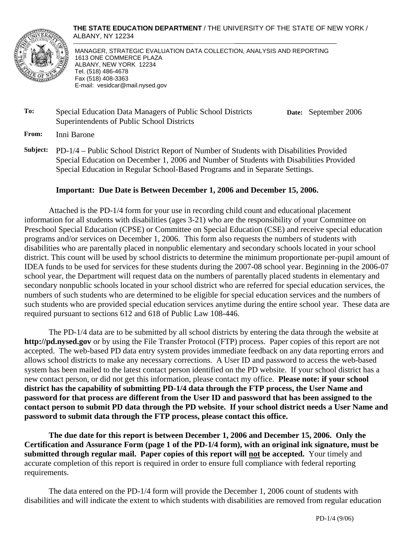

**THE STATE EDUCATION DEPARTMENT** / THE UNIVERSITY OF THE STATE OF NEW YORK / ALBANY, NY 12234

 MANAGER, STRATEGIC EVALUATION DATA COLLECTION, ANALYSIS AND REPORTING 1613 ONE COMMERCE PLAZA ALBANY, NEW YORK 12234 Tel. (518) 486-4678 Fax (518) 408-3363 E-mail: vesidcar@mail.nysed.gov

#### **To:** Special Education Data Managers of Public School Districts Superintendents of Public School Districts

**Date:** September 2006

**From:** Inni Barone

**Subject:** PD-1/4 – Public School District Report of Number of Students with Disabilities Provided Special Education on December 1, 2006 and Number of Students with Disabilities Provided Special Education in Regular School-Based Programs and in Separate Settings.

### **Important: Due Date is Between December 1, 2006 and December 15, 2006.**

Attached is the PD-1/4 form for your use in recording child count and educational placement information for all students with disabilities (ages 3-21) who are the responsibility of your Committee on Preschool Special Education (CPSE) or Committee on Special Education (CSE) and receive special education programs and/or services on December 1, 2006. This form also requests the numbers of students with disabilities who are parentally placed in nonpublic elementary and secondary schools located in your school district. This count will be used by school districts to determine the minimum proportionate per-pupil amount of IDEA funds to be used for services for these students during the 2007-08 school year. Beginning in the 2006-07 school year, the Department will request data on the numbers of parentally placed students in elementary and secondary nonpublic schools located in your school district who are referred for special education services, the numbers of such students who are determined to be eligible for special education services and the numbers of such students who are provided special education services anytime during the entire school year. These data are required pursuant to sections 612 and 618 of Public Law 108-446.

The PD-1/4 data are to be submitted by all school districts by entering the data through the website at **http://pd.nysed.gov** or by using the File Transfer Protocol (FTP) process. Paper copies of this report are not accepted. The web-based PD data entry system provides immediate feedback on any data reporting errors and allows school districts to make any necessary corrections. A User ID and password to access the web-based system has been mailed to the latest contact person identified on the PD website. If your school district has a new contact person, or did not get this information, please contact my office. **Please note: if your school district has the capability of submitting PD-1/4 data through the FTP process, the User Name and password for that process are different from the User ID and password that has been assigned to the contact person to submit PD data through the PD website. If your school district needs a User Name and password to submit data through the FTP process, please contact this office.** 

**The due date for this report is between December 1, 2006 and December 15, 2006. Only the Certification and Assurance Form (page 1 of the PD-1/4 form), with an original ink signature, must be submitted through regular mail. Paper copies of this report will not be accepted.** Your timely and accurate completion of this report is required in order to ensure full compliance with federal reporting requirements.

The data entered on the PD-1/4 form will provide the December 1, 2006 count of students with disabilities and will indicate the extent to which students with disabilities are removed from regular education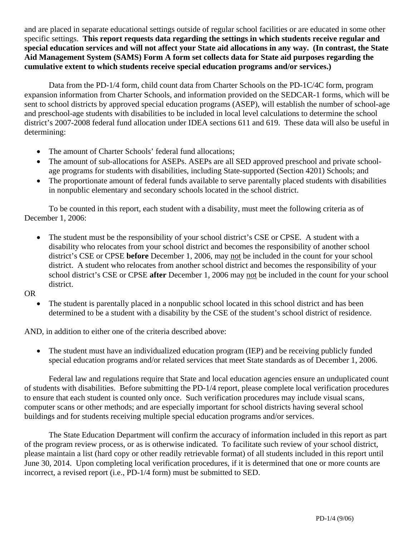and are placed in separate educational settings outside of regular school facilities or are educated in some other specific settings. **This report requests data regarding the settings in which students receive regular and special education services and will not affect your State aid allocations in any way. (In contrast, the State Aid Management System (SAMS) Form A form set collects data for State aid purposes regarding the cumulative extent to which students receive special education programs and/or services.)** 

Data from the PD-1/4 form, child count data from Charter Schools on the PD-1C/4C form, program expansion information from Charter Schools, and information provided on the SEDCAR-1 forms, which will be sent to school districts by approved special education programs (ASEP), will establish the number of school-age and preschool-age students with disabilities to be included in local level calculations to determine the school district's 2007-2008 federal fund allocation under IDEA sections 611 and 619. These data will also be useful in determining:

- The amount of Charter Schools' federal fund allocations;
- The amount of sub-allocations for ASEPs. ASEPs are all SED approved preschool and private schoolage programs for students with disabilities, including State-supported (Section 4201) Schools; and
- The proportionate amount of federal funds available to serve parentally placed students with disabilities in nonpublic elementary and secondary schools located in the school district.

To be counted in this report, each student with a disability, must meet the following criteria as of December 1, 2006:

• The student must be the responsibility of your school district's CSE or CPSE. A student with a disability who relocates from your school district and becomes the responsibility of another school district's CSE or CPSE **before** December 1, 2006, may not be included in the count for your school district. A student who relocates from another school district and becomes the responsibility of your school district's CSE or CPSE **after** December 1, 2006 may not be included in the count for your school district.

OR

The student is parentally placed in a nonpublic school located in this school district and has been determined to be a student with a disability by the CSE of the student's school district of residence.

AND, in addition to either one of the criteria described above:

• The student must have an individualized education program (IEP) and be receiving publicly funded special education programs and/or related services that meet State standards as of December 1, 2006.

Federal law and regulations require that State and local education agencies ensure an unduplicated count of students with disabilities. Before submitting the PD-1/4 report, please complete local verification procedures to ensure that each student is counted only once. Such verification procedures may include visual scans, computer scans or other methods; and are especially important for school districts having several school buildings and for students receiving multiple special education programs and/or services.

The State Education Department will confirm the accuracy of information included in this report as part of the program review process, or as is otherwise indicated. To facilitate such review of your school district, please maintain a list (hard copy or other readily retrievable format) of all students included in this report until June 30, 2014. Upon completing local verification procedures, if it is determined that one or more counts are incorrect, a revised report (i.e., PD-1/4 form) must be submitted to SED.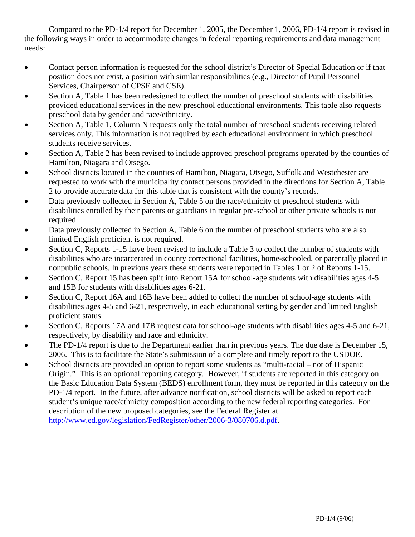Compared to the PD-1/4 report for December 1, 2005, the December 1, 2006, PD-1/4 report is revised in the following ways in order to accommodate changes in federal reporting requirements and data management needs:

- Contact person information is requested for the school district's Director of Special Education or if that position does not exist, a position with similar responsibilities (e.g., Director of Pupil Personnel Services, Chairperson of CPSE and CSE).
- Section A, Table 1 has been redesigned to collect the number of preschool students with disabilities provided educational services in the new preschool educational environments. This table also requests preschool data by gender and race/ethnicity.
- Section A, Table 1, Column N requests only the total number of preschool students receiving related services only. This information is not required by each educational environment in which preschool students receive services.
- Section A, Table 2 has been revised to include approved preschool programs operated by the counties of Hamilton, Niagara and Otsego.
- School districts located in the counties of Hamilton, Niagara, Otsego, Suffolk and Westchester are requested to work with the municipality contact persons provided in the directions for Section A, Table 2 to provide accurate data for this table that is consistent with the county's records.
- Data previously collected in Section A, Table 5 on the race/ethnicity of preschool students with disabilities enrolled by their parents or guardians in regular pre-school or other private schools is not required.
- Data previously collected in Section A, Table 6 on the number of preschool students who are also limited English proficient is not required.
- Section C, Reports 1-15 have been revised to include a Table 3 to collect the number of students with disabilities who are incarcerated in county correctional facilities, home-schooled, or parentally placed in nonpublic schools. In previous years these students were reported in Tables 1 or 2 of Reports 1-15.
- Section C, Report 15 has been split into Report 15A for school-age students with disabilities ages 4-5 and 15B for students with disabilities ages 6-21.
- Section C, Report 16A and 16B have been added to collect the number of school-age students with disabilities ages 4-5 and 6-21, respectively, in each educational setting by gender and limited English proficient status.
- Section C, Reports 17A and 17B request data for school-age students with disabilities ages 4-5 and 6-21, respectively, by disability and race and ethnicity.
- The PD-1/4 report is due to the Department earlier than in previous years. The due date is December 15, 2006. This is to facilitate the State's submission of a complete and timely report to the USDOE.
- School districts are provided an option to report some students as "multi-racial not of Hispanic Origin." This is an optional reporting category. However, if students are reported in this category on the Basic Education Data System (BEDS) enrollment form, they must be reported in this category on the PD-1/4 report. In the future, after advance notification, school districts will be asked to report each student's unique race/ethnicity composition according to the new federal reporting categories. For description of the new proposed categories, see the Federal Register at http://www.ed.gov/legislation/FedRegister/other/2006-3/080706.d.pdf.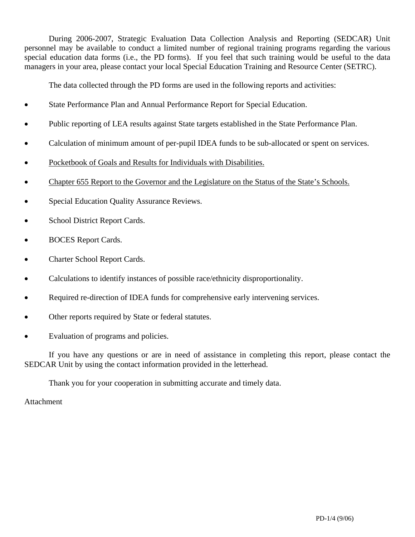During 2006-2007, Strategic Evaluation Data Collection Analysis and Reporting (SEDCAR) Unit personnel may be available to conduct a limited number of regional training programs regarding the various special education data forms (i.e., the PD forms). If you feel that such training would be useful to the data managers in your area, please contact your local Special Education Training and Resource Center (SETRC).

The data collected through the PD forms are used in the following reports and activities:

- State Performance Plan and Annual Performance Report for Special Education.
- Public reporting of LEA results against State targets established in the State Performance Plan.
- Calculation of minimum amount of per-pupil IDEA funds to be sub-allocated or spent on services.
- Pocketbook of Goals and Results for Individuals with Disabilities.
- Chapter 655 Report to the Governor and the Legislature on the Status of the State's Schools.
- Special Education Quality Assurance Reviews.
- School District Report Cards.
- BOCES Report Cards.
- Charter School Report Cards.
- Calculations to identify instances of possible race/ethnicity disproportionality.
- Required re-direction of IDEA funds for comprehensive early intervening services.
- Other reports required by State or federal statutes.
- Evaluation of programs and policies.

If you have any questions or are in need of assistance in completing this report, please contact the SEDCAR Unit by using the contact information provided in the letterhead.

Thank you for your cooperation in submitting accurate and timely data.

Attachment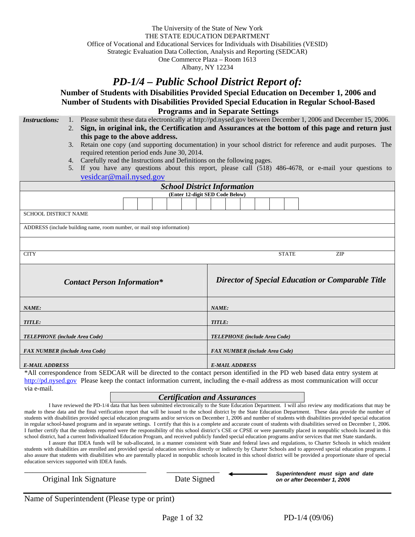The University of the State of New York THE STATE EDUCATION DEPARTMENT Office of Vocational and Educational Services for Individuals with Disabilities (VESID) Strategic Evaluation Data Collection, Analysis and Reporting (SEDCAR) One Commerce Plaza – Room 1613

Albany, NY 12234

## *PD-1/4 – Public School District Report of:*

**Number of Students with Disabilities Provided Special Education on December 1, 2006 and Number of Students with Disabilities Provided Special Education in Regular School-Based Programs and in Separate Settings** 

*Instructions:* 1. Please submit these data electronically at http://pd.nysed.gov between December 1, 2006 and December 15, 2006. 2. **Sign, in original ink, the Certification and Assurances at the bottom of this page and return just this page to the above address.** 3. Retain one copy (and supporting documentation) in your school district for reference and audit purposes. The required retention period ends June 30, 2014. 4. Carefully read the Instructions and Definitions on the following pages. 5. If you have any questions about this report, please call (518) 486-4678, or e-mail your questions to vesidcar@mail.nysed.gov *School District Information* **(Enter 12-digit SED Code Below)**  SCHOOL DISTRICT NAME ADDRESS (include building name, room number, or mail stop information) CITY STATE SERVICES AND STATE STATE STATE STATE STATE STATE SUPPORT OF STATE SUPPORT OF STATE SUPPORT OF STATE *Contact Person Information\* Director of Special Education or Comparable Title NAME: NAME: TITLE: TITLE: TELEPHONE (include Area Code) TELEPHONE (include Area Code) FAX NUMBER (include Area Code) FAX NUMBER (include Area Code) E-MAIL ADDRESS E-MAIL ADDRESS* 

\*All correspondence from SEDCAR will be directed to the contact person identified in the PD web based data entry system at http://pd.nysed.gov Please keep the contact information current, including the e-mail address as most communication will occur via e-mail.

#### *Certification and Assurances*

I have reviewed the PD-1/4 data that has been submitted electronically to the State Education Department. I will also review any modifications that may be made to these data and the final verification report that will be issued to the school district by the State Education Department. These data provide the number of students with disabilities provided special education programs and/or services on December 1, 2006 and number of students with disabilities provided special education in regular school-based programs and in separate settings. I certify that this is a complete and accurate count of students with disabilities served on December 1, 2006. I further certify that the students reported were the responsibility of this school district's CSE or CPSE or were parentally placed in nonpublic schools located in this school district, had a current Individualized Education Program, and received publicly funded special education programs and/or services that met State standards.

I assure that IDEA funds will be sub-allocated, in a manner consistent with State and federal laws and regulations, to Charter Schools in which resident students with disabilities are enrolled and provided special education services directly or indirectly by Charter Schools and to approved special education programs. I also assure that students with disabilities who are parentally placed in nonpublic schools located in this school district will be provided a proportionate share of special education services supported with IDEA funds.

Original Ink Signature Date Signed

*Superintendent must sign and date on or after December 1, 2006*

Name of Superintendent (Please type or print)

\_\_\_\_\_\_\_\_\_\_\_\_\_\_\_\_\_\_\_\_\_\_\_\_\_\_\_\_\_\_ \_\_\_\_\_\_\_\_\_\_\_\_\_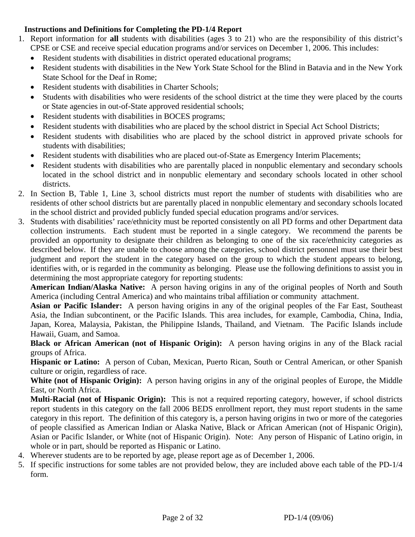### **Instructions and Definitions for Completing the PD-1/4 Report**

- 1. Report information for **all** students with disabilities (ages 3 to 21) who are the responsibility of this district's CPSE or CSE and receive special education programs and/or services on December 1, 2006. This includes:
	- Resident students with disabilities in district operated educational programs;
	- Resident students with disabilities in the New York State School for the Blind in Batavia and in the New York State School for the Deaf in Rome;
	- Resident students with disabilities in Charter Schools;
	- Students with disabilities who were residents of the school district at the time they were placed by the courts or State agencies in out-of-State approved residential schools;
	- Resident students with disabilities in BOCES programs;
	- Resident students with disabilities who are placed by the school district in Special Act School Districts;
	- Resident students with disabilities who are placed by the school district in approved private schools for students with disabilities;
	- Resident students with disabilities who are placed out-of-State as Emergency Interim Placements;
	- Resident students with disabilities who are parentally placed in nonpublic elementary and secondary schools located in the school district and in nonpublic elementary and secondary schools located in other school districts.
- 2. In Section B, Table 1, Line 3, school districts must report the number of students with disabilities who are residents of other school districts but are parentally placed in nonpublic elementary and secondary schools located in the school district and provided publicly funded special education programs and/or services.
- 3. Students with disabilities' race/ethnicity must be reported consistently on all PD forms and other Department data collection instruments. Each student must be reported in a single category. We recommend the parents be provided an opportunity to designate their children as belonging to one of the six race/ethnicity categories as described below. If they are unable to choose among the categories, school district personnel must use their best judgment and report the student in the category based on the group to which the student appears to belong, identifies with, or is regarded in the community as belonging. Please use the following definitions to assist you in determining the most appropriate category for reporting students:

**American Indian/Alaska Native:** A person having origins in any of the original peoples of North and South America (including Central America) and who maintains tribal affiliation or community attachment.

**Asian or Pacific Islander:** A person having origins in any of the original peoples of the Far East, Southeast Asia, the Indian subcontinent, or the Pacific Islands. This area includes, for example, Cambodia, China, India, Japan, Korea, Malaysia, Pakistan, the Philippine Islands, Thailand, and Vietnam. The Pacific Islands include Hawaii, Guam, and Samoa.

**Black or African American (not of Hispanic Origin):** A person having origins in any of the Black racial groups of Africa.

**Hispanic or Latino:** A person of Cuban, Mexican, Puerto Rican, South or Central American, or other Spanish culture or origin, regardless of race.

**White (not of Hispanic Origin):** A person having origins in any of the original peoples of Europe, the Middle East, or North Africa.

**Multi-Racial (not of Hispanic Origin):** This is not a required reporting category, however, if school districts report students in this category on the fall 2006 BEDS enrollment report, they must report students in the same category in this report. The definition of this category is, a person having origins in two or more of the categories of people classified as American Indian or Alaska Native, Black or African American (not of Hispanic Origin), Asian or Pacific Islander, or White (not of Hispanic Origin). Note: Any person of Hispanic of Latino origin, in whole or in part, should be reported as Hispanic or Latino.

- 4. Wherever students are to be reported by age, please report age as of December 1, 2006.
- 5. If specific instructions for some tables are not provided below, they are included above each table of the PD-1/4 form.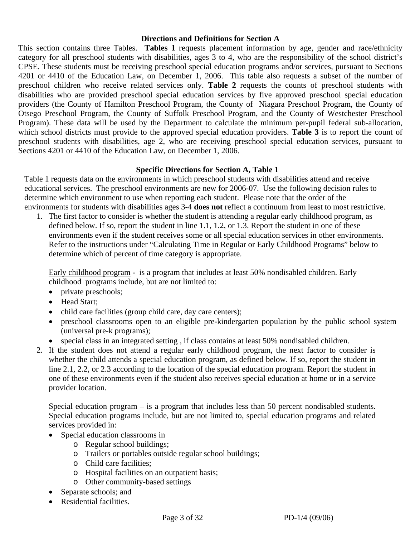#### **Directions and Definitions for Section A**

This section contains three Tables. **Tables 1** requests placement information by age, gender and race/ethnicity category for all preschool students with disabilities, ages 3 to 4, who are the responsibility of the school district's CPSE. These students must be receiving preschool special education programs and/or services, pursuant to Sections 4201 or 4410 of the Education Law, on December 1, 2006. This table also requests a subset of the number of preschool children who receive related services only. **Table 2** requests the counts of preschool students with disabilities who are provided preschool special education services by five approved preschool special education providers (the County of Hamilton Preschool Program, the County of Niagara Preschool Program, the County of Otsego Preschool Program, the County of Suffolk Preschool Program, and the County of Westchester Preschool Program). These data will be used by the Department to calculate the minimum per-pupil federal sub-allocation, which school districts must provide to the approved special education providers. **Table 3** is to report the count of preschool students with disabilities, age 2, who are receiving preschool special education services, pursuant to Sections 4201 or 4410 of the Education Law, on December 1, 2006.

#### **Specific Directions for Section A, Table 1**

Table 1 requests data on the environments in which preschool students with disabilities attend and receive educational services. The preschool environments are new for 2006-07. Use the following decision rules to determine which environment to use when reporting each student. Please note that the order of the environments for students with disabilities ages 3-4 **does not** reflect a continuum from least to most restrictive.

1. The first factor to consider is whether the student is attending a regular early childhood program, as defined below. If so, report the student in line 1.1, 1.2, or 1.3. Report the student in one of these environments even if the student receives some or all special education services in other environments. Refer to the instructions under "Calculating Time in Regular or Early Childhood Programs" below to determine which of percent of time category is appropriate.

Early childhood program - is a program that includes at least 50% nondisabled children. Early childhood programs include, but are not limited to:

- private preschools;
- Head Start;
- child care facilities (group child care, day care centers);
- preschool classrooms open to an eligible pre-kindergarten population by the public school system (universal pre-k programs);
- special class in an integrated setting, if class contains at least 50% nondisabled children.
- 2. If the student does not attend a regular early childhood program, the next factor to consider is whether the child attends a special education program, as defined below. If so, report the student in line 2.1, 2.2, or 2.3 according to the location of the special education program. Report the student in one of these environments even if the student also receives special education at home or in a service provider location.

Special education program – is a program that includes less than 50 percent nondisabled students. Special education programs include, but are not limited to, special education programs and related services provided in:

- Special education classrooms in
	- o Regular school buildings;
		- o Trailers or portables outside regular school buildings;
		- o Child care facilities;
		- o Hospital facilities on an outpatient basis;
		- o Other community-based settings
- Separate schools; and
- Residential facilities.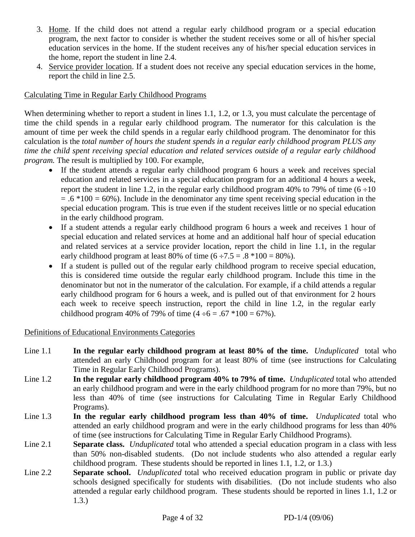- 3. Home. If the child does not attend a regular early childhood program or a special education program, the next factor to consider is whether the student receives some or all of his/her special education services in the home. If the student receives any of his/her special education services in the home, report the student in line 2.4.
- 4. Service provider location. If a student does not receive any special education services in the home, report the child in line 2.5.

#### Calculating Time in Regular Early Childhood Programs

When determining whether to report a student in lines 1.1, 1.2, or 1.3, you must calculate the percentage of time the child spends in a regular early childhood program. The numerator for this calculation is the amount of time per week the child spends in a regular early childhood program. The denominator for this calculation is the *total number of hours the student spends in a regular early childhood program PLUS any time the child spent receiving special education and related services outside of a regular early childhood program.* The result is multiplied by 100. For example,

- If the student attends a regular early childhood program 6 hours a week and receives special education and related services in a special education program for an additional 4 hours a week, report the student in line 1.2, in the regular early childhood program 40% to 79% of time  $(6 \div 10)$  $= .6 * 100 = 60$ %). Include in the denominator any time spent receiving special education in the special education program. This is true even if the student receives little or no special education in the early childhood program.
- If a student attends a regular early childhood program 6 hours a week and receives 1 hour of special education and related services at home and an additional half hour of special education and related services at a service provider location, report the child in line 1.1, in the regular early childhood program at least 80% of time  $(6 \div 7.5 = .8 * 100 = 80$ %).
- If a student is pulled out of the regular early childhood program to receive special education, this is considered time outside the regular early childhood program. Include this time in the denominator but not in the numerator of the calculation. For example, if a child attends a regular early childhood program for 6 hours a week, and is pulled out of that environment for 2 hours each week to receive speech instruction, report the child in line 1.2, in the regular early childhood program 40% of 79% of time  $(4 \div 6 = .67 * 100 = 67$ %).

#### Definitions of Educational Environments Categories

- Line 1.1 **In the regular early childhood program at least 80% of the time.** *Unduplicated* total who attended an early Childhood program for at least 80% of time (see instructions for Calculating Time in Regular Early Childhood Programs).
- Line 1.2 **In the regular early childhood program 40% to 79% of time.** *Unduplicated* total who attended an early childhood program and were in the early childhood program for no more than 79%, but no less than 40% of time (see instructions for Calculating Time in Regular Early Childhood Programs).
- Line 1.3 **In the regular early childhood program less than 40% of time.** *Unduplicated* total who attended an early childhood program and were in the early childhood programs for less than 40% of time (see instructions for Calculating Time in Regular Early Childhood Programs).
- Line 2.1 **Separate class.** *Unduplicated* total who attended a special education program in a class with less than 50% non-disabled students. (Do not include students who also attended a regular early childhood program. These students should be reported in lines 1.1, 1.2, or 1.3.)
- Line 2.2 **Separate school.** *Unduplicated* total who received education program in public or private day schools designed specifically for students with disabilities. (Do not include students who also attended a regular early childhood program. These students should be reported in lines 1.1, 1.2 or 1.3.)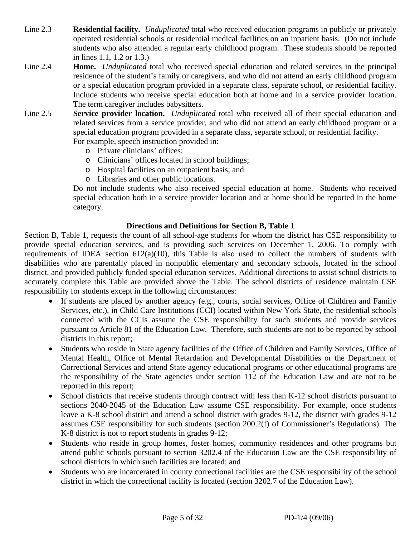- Line 2.3 **Residential facility.** *Unduplicated* total who received education programs in publicly or privately operated residential schools or residential medical facilities on an inpatient basis. (Do not include students who also attended a regular early childhood program. These students should be reported in lines 1.1, 1.2 or 1.3.)
- Line 2.4 **Home.** *Unduplicated* total who received special education and related services in the principal residence of the student's family or caregivers, and who did not attend an early childhood program or a special education program provided in a separate class, separate school, or residential facility. Include students who receive special education both at home and in a service provider location. The term caregiver includes babysitters.
- Line 2.5 **Service provider location.** *Unduplicated* total who received all of their special education and related services from a service provider, and who did not attend an early childhood program or a special education program provided in a separate class, separate school, or residential facility. For example, speech instruction provided in:
	- o Private clinicians' offices;
	- o Clinicians' offices located in school buildings;
	- o Hospital facilities on an outpatient basis; and
	- o Libraries and other public locations.

Do not include students who also received special education at home. Students who received special education both in a service provider location and at home should be reported in the home category.

### **Directions and Definitions for Section B, Table 1**

Section B, Table 1, requests the count of all school-age students for whom the district has CSE responsibility to provide special education services, and is providing such services on December 1, 2006. To comply with requirements of IDEA section 612(a)(10), this Table is also used to collect the numbers of students with disabilities who are parentally placed in nonpublic elementary and secondary schools, located in the school district, and provided publicly funded special education services. Additional directions to assist school districts to accurately complete this Table are provided above the Table. The school districts of residence maintain CSE responsibility for students except in the following circumstances:

- If students are placed by another agency (e.g., courts, social services, Office of Children and Family Services, etc.), in Child Care Institutions (CCI) located within New York State, the residential schools connected with the CCIs assume the CSE responsibility for such students and provide services pursuant to Article 81 of the Education Law. Therefore, such students are not to be reported by school districts in this report;
- Students who reside in State agency facilities of the Office of Children and Family Services, Office of Mental Health, Office of Mental Retardation and Developmental Disabilities or the Department of Correctional Services and attend State agency educational programs or other educational programs are the responsibility of the State agencies under section 112 of the Education Law and are not to be reported in this report;
- School districts that receive students through contract with less than K-12 school districts pursuant to sections 2040-2045 of the Education Law assume CSE responsibility. For example, once students leave a K-8 school district and attend a school district with grades 9-12, the district with grades 9-12 assumes CSE responsibility for such students (section 200.2(f) of Commissioner's Regulations). The K-8 district is not to report students in grades 9-12;
- Students who reside in group homes, foster homes, community residences and other programs but attend public schools pursuant to section 3202.4 of the Education Law are the CSE responsibility of school districts in which such facilities are located; and
- Students who are incarcerated in county correctional facilities are the CSE responsibility of the school district in which the correctional facility is located (section 3202.7 of the Education Law).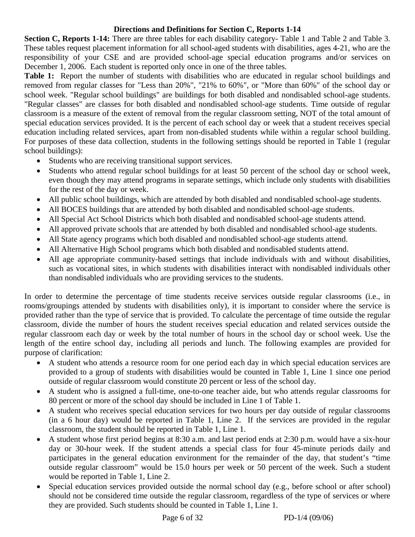### **Directions and Definitions for Section C, Reports 1-14**

**Section C, Reports 1-14:** There are three tables for each disability category- Table 1 and Table 2 and Table 3. These tables request placement information for all school-aged students with disabilities, ages 4-21, who are the responsibility of your CSE and are provided school-age special education programs and/or services on December 1, 2006. Each student is reported only once in one of the three tables.

**Table 1:** Report the number of students with disabilities who are educated in regular school buildings and removed from regular classes for "Less than 20%", "21% to 60%", or "More than 60%" of the school day or school week. "Regular school buildings" are buildings for both disabled and nondisabled school-age students. "Regular classes" are classes for both disabled and nondisabled school-age students. Time outside of regular classroom is a measure of the extent of removal from the regular classroom setting, NOT of the total amount of special education services provided. It is the percent of each school day or week that a student receives special education including related services, apart from non-disabled students while within a regular school building. For purposes of these data collection, students in the following settings should be reported in Table 1 (regular school buildings):

- Students who are receiving transitional support services.
- Students who attend regular school buildings for at least 50 percent of the school day or school week, even though they may attend programs in separate settings, which include only students with disabilities for the rest of the day or week.
- All public school buildings, which are attended by both disabled and nondisabled school-age students.
- All BOCES buildings that are attended by both disabled and nondisabled school-age students.
- All Special Act School Districts which both disabled and nondisabled school-age students attend.
- All approved private schools that are attended by both disabled and nondisabled school-age students.
- All State agency programs which both disabled and nondisabled school-age students attend.
- All Alternative High School programs which both disabled and nondisabled students attend.
- All age appropriate community-based settings that include individuals with and without disabilities, such as vocational sites, in which students with disabilities interact with nondisabled individuals other than nondisabled individuals who are providing services to the students.

In order to determine the percentage of time students receive services outside regular classrooms (i.e., in rooms/groupings attended by students with disabilities only), it is important to consider where the service is provided rather than the type of service that is provided. To calculate the percentage of time outside the regular classroom, divide the number of hours the student receives special education and related services outside the regular classroom each day or week by the total number of hours in the school day or school week. Use the length of the entire school day, including all periods and lunch. The following examples are provided for purpose of clarification:

- A student who attends a resource room for one period each day in which special education services are provided to a group of students with disabilities would be counted in Table 1, Line 1 since one period outside of regular classroom would constitute 20 percent or less of the school day.
- A student who is assigned a full-time, one-to-one teacher aide, but who attends regular classrooms for 80 percent or more of the school day should be included in Line 1 of Table 1.
- A student who receives special education services for two hours per day outside of regular classrooms (in a 6 hour day) would be reported in Table 1, Line 2. If the services are provided in the regular classroom, the student should be reported in Table 1, Line 1.
- A student whose first period begins at 8:30 a.m. and last period ends at 2:30 p.m. would have a six-hour day or 30-hour week. If the student attends a special class for four 45-minute periods daily and participates in the general education environment for the remainder of the day, that student's "time outside regular classroom" would be 15.0 hours per week or 50 percent of the week. Such a student would be reported in Table 1, Line 2.
- Special education services provided outside the normal school day (e.g., before school or after school) should not be considered time outside the regular classroom, regardless of the type of services or where they are provided. Such students should be counted in Table 1, Line 1.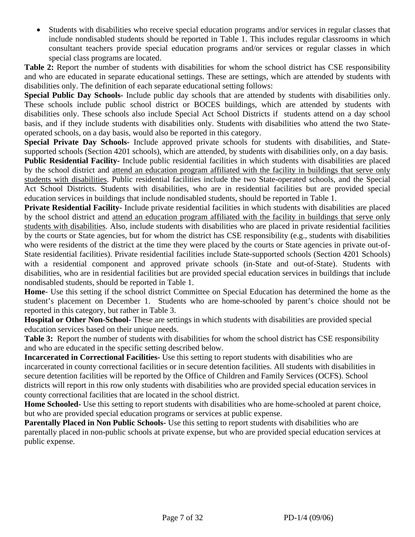• Students with disabilities who receive special education programs and/or services in regular classes that include nondisabled students should be reported in Table 1. This includes regular classrooms in which consultant teachers provide special education programs and/or services or regular classes in which special class programs are located.

**Table 2:** Report the number of students with disabilities for whom the school district has CSE responsibility and who are educated in separate educational settings. These are settings, which are attended by students with disabilities only. The definition of each separate educational setting follows:

**Special Public Day Schools-** Include public day schools that are attended by students with disabilities only. These schools include public school district or BOCES buildings, which are attended by students with disabilities only. These schools also include Special Act School Districts if students attend on a day school basis, and if they include students with disabilities only. Students with disabilities who attend the two Stateoperated schools, on a day basis, would also be reported in this category.

**Special Private Day Schools-** Include approved private schools for students with disabilities, and Statesupported schools (Section 4201 schools), which are attended, by students with disabilities only, on a day basis.

**Public Residential Facility-** Include public residential facilities in which students with disabilities are placed by the school district and attend an education program affiliated with the facility in buildings that serve only students with disabilities. Public residential facilities include the two State-operated schools, and the Special Act School Districts. Students with disabilities, who are in residential facilities but are provided special education services in buildings that include nondisabled students, should be reported in Table 1.

**Private Residential Facility-** Include private residential facilities in which students with disabilities are placed by the school district and attend an education program affiliated with the facility in buildings that serve only students with disabilities. Also, include students with disabilities who are placed in private residential facilities by the courts or State agencies, but for whom the district has CSE responsibility (e.g., students with disabilities who were residents of the district at the time they were placed by the courts or State agencies in private out-of-State residential facilities). Private residential facilities include State-supported schools (Section 4201 Schools) with a residential component and approved private schools (in-State and out-of-State). Students with disabilities, who are in residential facilities but are provided special education services in buildings that include nondisabled students, should be reported in Table 1.

**Home**- Use this setting if the school district Committee on Special Education has determined the home as the student's placement on December 1. Students who are home-schooled by parent's choice should not be reported in this category, but rather in Table 3.

**Hospital or Other Non-School-** These are settings in which students with disabilities are provided special education services based on their unique needs.

**Table 3:** Report the number of students with disabilities for whom the school district has CSE responsibility and who are educated in the specific setting described below.

**Incarcerated in Correctional Facilities-** Use this setting to report students with disabilities who are incarcerated in county correctional facilities or in secure detention facilities. All students with disabilities in secure detention facilities will be reported by the Office of Children and Family Services (OCFS). School districts will report in this row only students with disabilities who are provided special education services in county correctional facilities that are located in the school district.

**Home Schooled-** Use this setting to report students with disabilities who are home-schooled at parent choice, but who are provided special education programs or services at public expense.

**Parentally Placed in Non Public Schools-** Use this setting to report students with disabilities who are parentally placed in non-public schools at private expense, but who are provided special education services at public expense.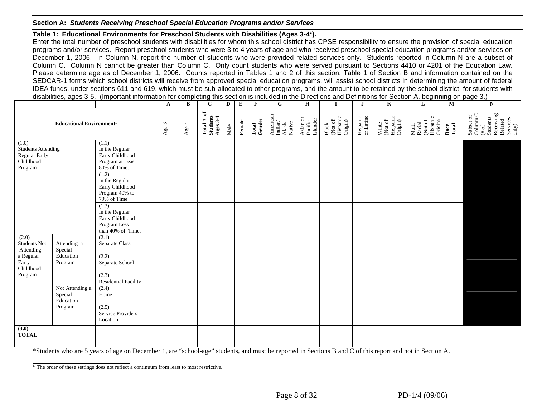#### **Section A:** *Students Receiving Preschool Special Education Programs and/or Services*

#### **Table 1: Educational Environments for Preschool Students with Disabilities (Ages 3-4\*).**

Enter the total number of preschool students with disabilities for whom this school district has CPSE responsibility to ensure the provision of special education programs and/or services. Report preschool students who were 3 to 4 years of age and who received preschool special education programs and/or services on December 1, 2006. In Column N, report the number of students who were provided related services only. Students reported in Column N are a subset of Column C. Column N cannot be greater than Column C. Only count students who were served pursuant to Sections 4410 or 4201 of the Education Law. Please determine age as of December 1, 2006. Counts reported in Tables 1 and 2 of this section, Table 1 of Section B and information contained on the SEDCAR-1 forms which school districts will receive from approved special education programs, will assist school districts in determining the amount of federal IDEA funds, under sections 611 and 619, which must be sub-allocated to other programs, and the amount to be retained by the school district, for students with disabilities, ages 3-5. (Important information for completing this section is included in the Directions and Definitions for Section A, beginning on page 3.)

|                                                                             |                                            |                                                                                                                                                                                          | $\mathbf A$              | B     | $\mathbf C$                        | D    | E      | $\mathbf{F}$    | G                                       | H                               | $\mathbf I$                             | J.                    | $\mathbf K$                             | L                                                  | $\mathbf{M}$  | $\overline{\bf N}$                                                                                                                                                                                                                                                                                                                                                                                                                                                                                            |
|-----------------------------------------------------------------------------|--------------------------------------------|------------------------------------------------------------------------------------------------------------------------------------------------------------------------------------------|--------------------------|-------|------------------------------------|------|--------|-----------------|-----------------------------------------|---------------------------------|-----------------------------------------|-----------------------|-----------------------------------------|----------------------------------------------------|---------------|---------------------------------------------------------------------------------------------------------------------------------------------------------------------------------------------------------------------------------------------------------------------------------------------------------------------------------------------------------------------------------------------------------------------------------------------------------------------------------------------------------------|
|                                                                             | <b>Educational Environment<sup>1</sup></b> |                                                                                                                                                                                          | $\omega$<br>$_{\rm Age}$ | Age 4 | Total # of<br>Students<br>Ages 3-4 | Male | Female | Gender<br>Total | American<br>Indian/<br>Alaska<br>Native | Asian or<br>Pacific<br>Islander | Black<br>(Not of<br>Hispanic<br>Origin) | or Latino<br>Hispanic | White<br>(Not of<br>Hispanic<br>Origin) | Multi-<br>Racial<br>(Not of<br>Hispanic<br>Oriein) | Race<br>Total | $\begin{array}{l} \mbox{Subset of}\\ \mbox{Column C}\\ \#~\mbox{of}\\ \mbox{Students}\\ \mbox{Receiving}\\ \mbox{Receiving}\\ \mbox{Reusing}\\ \mbox{Services}\\ \mbox{Services}\\ \mbox{Services}\\ \mbox{Srevices}\\ \mbox{Srevices}\\ \mbox{Srevices}\\ \mbox{Srevices}\\ \mbox{Srevices}\\ \mbox{Srevices}\\ \mbox{Srevices}\\ \mbox{Srevics}\\ \mbox{Srevics}\\ \mbox{Srevics}\\ \mbox{Srevics}\\ \mbox{Srevics}\\ \mbox{Srevics}\\ \mbox{Srevics}\\ \mbox{Srevics}\\ \mbox{Srevics}\\ \mbox{Srevics}\\$ |
| (1.0)<br><b>Students Attending</b><br>Regular Early<br>Childhood<br>Program |                                            | (1.1)<br>In the Regular<br>Early Childhood<br>Program at Least<br>80% of Time.<br>(1.2)<br>In the Regular<br>Early Childhood<br>Program 40% to<br>79% of Time<br>(1.3)<br>In the Regular |                          |       |                                    |      |        |                 |                                         |                                 |                                         |                       |                                         |                                                    |               |                                                                                                                                                                                                                                                                                                                                                                                                                                                                                                               |
|                                                                             |                                            | Early Childhood<br>Program Less<br>than 40% of Time.                                                                                                                                     |                          |       |                                    |      |        |                 |                                         |                                 |                                         |                       |                                         |                                                    |               |                                                                                                                                                                                                                                                                                                                                                                                                                                                                                                               |
| (2.0)<br><b>Students Not</b><br>Attending                                   | Attending a<br>Special                     | (2.1)<br>Separate Class                                                                                                                                                                  |                          |       |                                    |      |        |                 |                                         |                                 |                                         |                       |                                         |                                                    |               |                                                                                                                                                                                                                                                                                                                                                                                                                                                                                                               |
| a Regular<br>Early<br>Childhood                                             | Education<br>Program                       | (2.2)<br>Separate School                                                                                                                                                                 |                          |       |                                    |      |        |                 |                                         |                                 |                                         |                       |                                         |                                                    |               |                                                                                                                                                                                                                                                                                                                                                                                                                                                                                                               |
| Program                                                                     |                                            | (2.3)<br>Residential Facility                                                                                                                                                            |                          |       |                                    |      |        |                 |                                         |                                 |                                         |                       |                                         |                                                    |               |                                                                                                                                                                                                                                                                                                                                                                                                                                                                                                               |
|                                                                             | Not Attending a<br>Special<br>Education    | (2.4)<br>Home                                                                                                                                                                            |                          |       |                                    |      |        |                 |                                         |                                 |                                         |                       |                                         |                                                    |               |                                                                                                                                                                                                                                                                                                                                                                                                                                                                                                               |
|                                                                             | Program                                    | (2.5)<br>Service Providers<br>Location                                                                                                                                                   |                          |       |                                    |      |        |                 |                                         |                                 |                                         |                       |                                         |                                                    |               |                                                                                                                                                                                                                                                                                                                                                                                                                                                                                                               |
| (3.0)<br>TOTAL                                                              |                                            |                                                                                                                                                                                          |                          |       |                                    |      |        |                 |                                         |                                 |                                         |                       |                                         |                                                    |               |                                                                                                                                                                                                                                                                                                                                                                                                                                                                                                               |

\*Students who are 5 years of age on December 1, are "school-age" students, and must be reported in Sections B and C of this report and not in Section A.

 $\frac{1}{1}$ . The order of these settings does not reflect a continuum from least to most restrictive.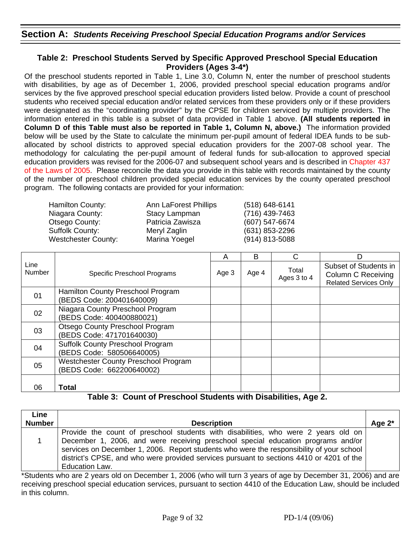### **Table 2: Preschool Students Served by Specific Approved Preschool Special Education Providers (Ages 3-4\*)**

Of the preschool students reported in Table 1, Line 3.0, Column N, enter the number of preschool students with disabilities, by age as of December 1, 2006, provided preschool special education programs and/or services by the five approved preschool special education providers listed below. Provide a count of preschool students who received special education and/or related services from these providers only or if these providers were designated as the "coordinating provider" by the CPSE for children serviced by multiple providers. The information entered in this table is a subset of data provided in Table 1 above. **(All students reported in Column D of this Table must also be reported in Table 1, Column N, above.)** The information provided below will be used by the State to calculate the minimum per-pupil amount of federal IDEA funds to be suballocated by school districts to approved special education providers for the 2007-08 school year. The methodology for calculating the per-pupil amount of federal funds for sub-allocation to approved special education providers was revised for the 2006-07 and subsequent school years and is described in Chapter 437 of the Laws of 2005. Please reconcile the data you provide in this table with records maintained by the county of the number of preschool children provided special education services by the county operated preschool program. The following contacts are provided for your information:

| Hamilton County:           | Ann LaForest Phillips | (518) 648-6141   |
|----------------------------|-----------------------|------------------|
| Niagara County:            | Stacy Lampman         | (716) 439-7463   |
| Otsego County:             | Patricia Zawisza      | (607) 547-6674   |
| <b>Suffolk County:</b>     | Meryl Zaglin          | (631) 853-2296   |
| <b>Westchester County:</b> | Marina Yoegel         | $(914)$ 813-5088 |

|                       |                                                                      | A     | В     | C                    | D                                                                                  |
|-----------------------|----------------------------------------------------------------------|-------|-------|----------------------|------------------------------------------------------------------------------------|
| Line<br><b>Number</b> | Specific Preschool Programs                                          | Age 3 | Age 4 | Total<br>Ages 3 to 4 | Subset of Students in<br><b>Column C Receiving</b><br><b>Related Services Only</b> |
| 01                    | Hamilton County Preschool Program<br>(BEDS Code: 200401640009)       |       |       |                      |                                                                                    |
| 02                    | Niagara County Preschool Program<br>(BEDS Code: 400400880021)        |       |       |                      |                                                                                    |
| 03                    | <b>Otsego County Preschool Program</b><br>(BEDS Code: 471701640030)  |       |       |                      |                                                                                    |
| 04                    | <b>Suffolk County Preschool Program</b><br>(BEDS Code: 580506640005) |       |       |                      |                                                                                    |
| 05                    | Westchester County Preschool Program<br>(BEDS Code: 662200640002)    |       |       |                      |                                                                                    |
| 06                    | Total                                                                |       |       |                      |                                                                                    |

### **Table 3: Count of Preschool Students with Disabilities, Age 2.**

| Line          |                                                                                                                                                                                                                                                                                                                                                                                  |           |
|---------------|----------------------------------------------------------------------------------------------------------------------------------------------------------------------------------------------------------------------------------------------------------------------------------------------------------------------------------------------------------------------------------|-----------|
| <b>Number</b> | <b>Description</b>                                                                                                                                                                                                                                                                                                                                                               | Age $2^*$ |
|               | Provide the count of preschool students with disabilities, who were 2 years old on<br>December 1, 2006, and were receiving preschool special education programs and/or<br>services on December 1, 2006. Report students who were the responsibility of your school<br>district's CPSE, and who were provided services pursuant to sections 4410 or 4201 of the<br>Education Law. |           |

\*Students who are 2 years old on December 1, 2006 (who will turn 3 years of age by December 31, 2006) and are receiving preschool special education services, pursuant to section 4410 of the Education Law, should be included in this column.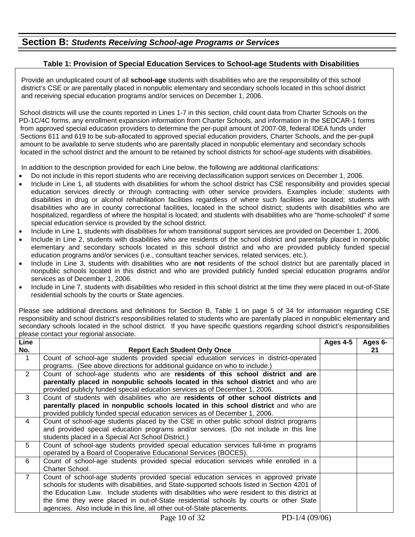## **Section B:** *Students Receiving School-age Programs or Services*

#### **Table 1: Provision of Special Education Services to School-age Students with Disabilities**

Provide an unduplicated count of all **school-age** students with disabilities who are the responsibility of this school district's CSE or are parentally placed in nonpublic elementary and secondary schools located in this school district and receiving special education programs and/or services on December 1, 2006.

 School districts will use the counts reported in Lines 1-7 in this section, child count data from Charter Schools on the PD-1C/4C forms, any enrollment expansion information from Charter Schools, and information in the SEDCAR-1 forms from approved special education providers to determine the per-pupil amount of 2007-08, federal IDEA funds under Sections 611 and 619 to be sub-allocated to approved special education providers, Charter Schools, and the per-pupil amount to be available to serve students who are parentally placed in nonpublic elementary and secondary schools located in the school district and the amount to be retained by school districts for school-age students with disabilities.

In addition to the description provided for each Line below, the following are additional clarifications:

- Do not include in this report students who are receiving declassification support services on December 1, 2006.
- Include in Line 1, all students with disabilities for whom the school district has CSE responsibility and provides special education services directly or through contracting with other service providers. Examples include: students with disabilities in drug or alcohol rehabilitation facilities regardless of where such facilities are located; students with disabilities who are in county correctional facilities, located in the school district; students with disabilities who are hospitalized, regardless of where the hospital is located; and students with disabilities who are "home-schooled" if some special education service is provided by the school district.
- Include in Line 1, students with disabilities for whom transitional support services are provided on December 1, 2006.
- Include in Line 2, students with disabilities who are residents of the school district and parentally placed in nonpublic elementary and secondary schools located in this school district and who are provided publicly funded special education programs and/or services (i.e., consultant teacher services, related services, etc.).
- Include in Line 3, students with disabilities who are **not** residents of the school district but are parentally placed in nonpublic schools located in this district and who are provided publicly funded special education programs and/or services as of December 1, 2006.
- Include in Line 7, students with disabilities who resided in this school district at the time they were placed in out-of-State residential schools by the courts or State agencies.

Please see additional directions and definitions for Section B, Table 1 on page 5 of 34 for information regarding CSE responsibility and school district's responsibilities related to students who are parentally placed in nonpublic elementary and secondary schools located in the school district. If you have specific questions regarding school district's responsibilities please contact your regional associate.

| Line           |                                                                                               | Ages 4-5 | Ages 6- |
|----------------|-----------------------------------------------------------------------------------------------|----------|---------|
| No.            | <b>Report Each Student Only Once</b>                                                          |          | 21      |
| $\mathbf{1}$   | Count of school-age students provided special education services in district-operated         |          |         |
|                | programs. (See above directions for additional guidance on who to include.)                   |          |         |
| 2              | Count of school-age students who are residents of this school district and are                |          |         |
|                | parentally placed in nonpublic schools located in this school district and who are            |          |         |
|                | provided publicly funded special education services as of December 1, 2006.                   |          |         |
| 3              | Count of students with disabilities who are residents of other school districts and           |          |         |
|                | parentally placed in nonpublic schools located in this school district and who are            |          |         |
|                | provided publicly funded special education services as of December 1, 2006.                   |          |         |
| 4              | Count of school-age students placed by the CSE in other public school district programs       |          |         |
|                | and provided special education programs and/or services. (Do not include in this line         |          |         |
|                | students placed in a Special Act School District.)                                            |          |         |
| 5              | Count of school-age students provided special education services full-time in programs        |          |         |
|                | operated by a Board of Cooperative Educational Services (BOCES).                              |          |         |
| 6              | Count of school-age students provided special education services while enrolled in a          |          |         |
|                | Charter School.                                                                               |          |         |
| $\overline{7}$ | Count of school-age students provided special education services in approved private          |          |         |
|                | schools for students with disabilities, and State-supported schools listed in Section 4201 of |          |         |
|                | the Education Law. Include students with disabilities who were resident to this district at   |          |         |
|                | the time they were placed in out-of-State residential schools by courts or other State        |          |         |
|                | agencies. Also include in this line, all other out-of-State placements.                       |          |         |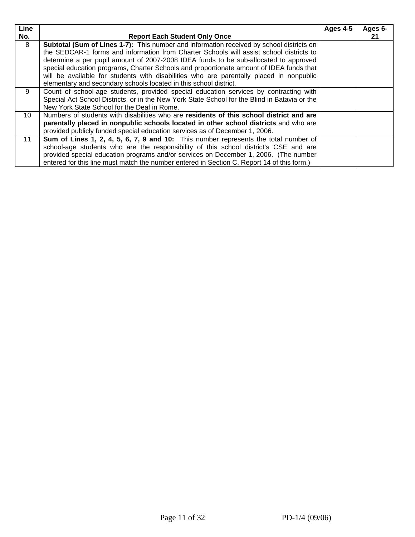| Line |                                                                                               | Ages 4-5 | Ages 6- |
|------|-----------------------------------------------------------------------------------------------|----------|---------|
| No.  | <b>Report Each Student Only Once</b>                                                          |          | 21      |
| 8    | Subtotal (Sum of Lines 1-7): This number and information received by school districts on      |          |         |
|      | the SEDCAR-1 forms and information from Charter Schools will assist school districts to       |          |         |
|      | determine a per pupil amount of 2007-2008 IDEA funds to be sub-allocated to approved          |          |         |
|      | special education programs, Charter Schools and proportionate amount of IDEA funds that       |          |         |
|      | will be available for students with disabilities who are parentally placed in nonpublic       |          |         |
|      | elementary and secondary schools located in this school district.                             |          |         |
| 9    | Count of school-age students, provided special education services by contracting with         |          |         |
|      | Special Act School Districts, or in the New York State School for the Blind in Batavia or the |          |         |
|      | New York State School for the Deaf in Rome.                                                   |          |         |
| 10   | Numbers of students with disabilities who are residents of this school district and are       |          |         |
|      | parentally placed in nonpublic schools located in other school districts and who are          |          |         |
|      | provided publicly funded special education services as of December 1, 2006.                   |          |         |
| 11   | Sum of Lines 1, 2, 4, 5, 6, 7, 9 and 10: This number represents the total number of           |          |         |
|      | school-age students who are the responsibility of this school district's CSE and are          |          |         |
|      | provided special education programs and/or services on December 1, 2006. (The number          |          |         |
|      | entered for this line must match the number entered in Section C, Report 14 of this form.)    |          |         |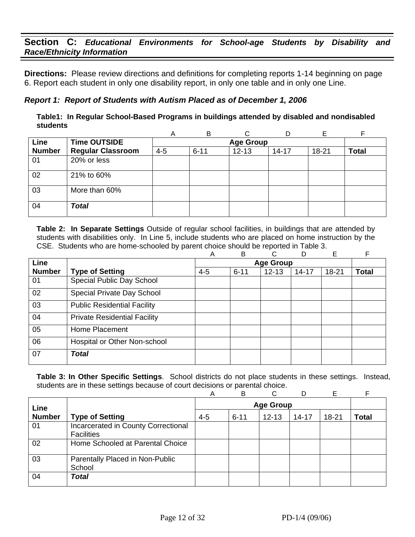**Directions:** Please review directions and definitions for completing reports 1-14 beginning on page 6. Report each student in only one disability report, in only one table and in only one Line.

### *Report 1: Report of Students with Autism Placed as of December 1, 2006*

**Table1: In Regular School-Based Programs in buildings attended by disabled and nondisabled students** 

|               |                          | A       | B                |           | D         | Е     |              |  |  |  |
|---------------|--------------------------|---------|------------------|-----------|-----------|-------|--------------|--|--|--|
| Line          | <b>Time OUTSIDE</b>      |         | <b>Age Group</b> |           |           |       |              |  |  |  |
| <b>Number</b> | <b>Regular Classroom</b> | $4 - 5$ | $6 - 11$         | $12 - 13$ | $14 - 17$ | 18-21 | <b>Total</b> |  |  |  |
| 01            | 20% or less              |         |                  |           |           |       |              |  |  |  |
| 02            | 21% to 60%               |         |                  |           |           |       |              |  |  |  |
| 03            | More than 60%            |         |                  |           |           |       |              |  |  |  |
| 04            | <b>Total</b>             |         |                  |           |           |       |              |  |  |  |

**Table 2: In Separate Settings** Outside of regular school facilities, in buildings that are attended by students with disabilities only. In Line 5, include students who are placed on home instruction by the CSE. Students who are home-schooled by parent choice should be reported in Table 3.

|               |                                     | Α       | B                | C         | D         | Е         | F            |  |  |
|---------------|-------------------------------------|---------|------------------|-----------|-----------|-----------|--------------|--|--|
| Line          |                                     |         | <b>Age Group</b> |           |           |           |              |  |  |
| <b>Number</b> | <b>Type of Setting</b>              | $4 - 5$ | $6 - 11$         | $12 - 13$ | $14 - 17$ | $18 - 21$ | <b>Total</b> |  |  |
| 01            | Special Public Day School           |         |                  |           |           |           |              |  |  |
| 02            | Special Private Day School          |         |                  |           |           |           |              |  |  |
| 03            | <b>Public Residential Facility</b>  |         |                  |           |           |           |              |  |  |
| 04            | <b>Private Residential Facility</b> |         |                  |           |           |           |              |  |  |
| 05            | Home Placement                      |         |                  |           |           |           |              |  |  |
| 06            | Hospital or Other Non-school        |         |                  |           |           |           |              |  |  |
| 07            | <b>Total</b>                        |         |                  |           |           |           |              |  |  |
|               |                                     |         |                  |           |           |           |              |  |  |

|               |                                                          | Α       | B        | $\cap$           |           | F         |              |
|---------------|----------------------------------------------------------|---------|----------|------------------|-----------|-----------|--------------|
| Line          |                                                          |         |          | <b>Age Group</b> |           |           |              |
| <b>Number</b> | <b>Type of Setting</b>                                   | $4 - 5$ | $6 - 11$ | $12 - 13$        | $14 - 17$ | $18 - 21$ | <b>Total</b> |
| 01            | Incarcerated in County Correctional<br><b>Facilities</b> |         |          |                  |           |           |              |
| 02            | Home Schooled at Parental Choice                         |         |          |                  |           |           |              |
| 03            | Parentally Placed in Non-Public<br>School                |         |          |                  |           |           |              |
| 04            | <b>Total</b>                                             |         |          |                  |           |           |              |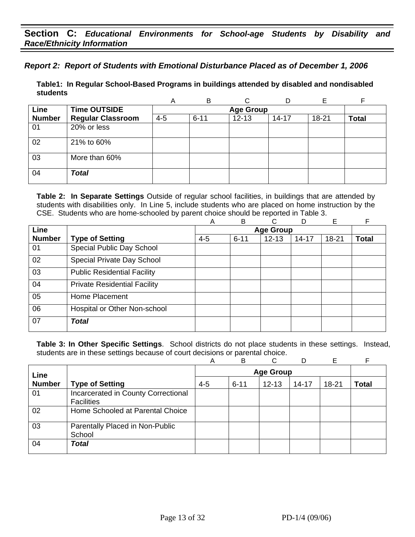#### *Report 2: Report of Students with Emotional Disturbance Placed as of December 1, 2006*

**Table1: In Regular School-Based Programs in buildings attended by disabled and nondisabled students** 

|               |                          | Α       | B                |           | D         | E     |              |  |  |  |  |
|---------------|--------------------------|---------|------------------|-----------|-----------|-------|--------------|--|--|--|--|
| Line          | <b>Time OUTSIDE</b>      |         | <b>Age Group</b> |           |           |       |              |  |  |  |  |
| <b>Number</b> | <b>Regular Classroom</b> | $4 - 5$ | $6 - 11$         | $12 - 13$ | $14 - 17$ | 18-21 | <b>Total</b> |  |  |  |  |
| 01            | 20% or less              |         |                  |           |           |       |              |  |  |  |  |
| 02            | 21% to 60%               |         |                  |           |           |       |              |  |  |  |  |
| 03            | More than 60%            |         |                  |           |           |       |              |  |  |  |  |
| 04            | <b>Total</b>             |         |                  |           |           |       |              |  |  |  |  |

**Table 2: In Separate Settings** Outside of regular school facilities, in buildings that are attended by students with disabilities only. In Line 5, include students who are placed on home instruction by the CSE. Students who are home-schooled by parent choice should be reported in Table 3.

|               |                                     | A       | B                | C         | D         | E     | F            |  |
|---------------|-------------------------------------|---------|------------------|-----------|-----------|-------|--------------|--|
| Line          |                                     |         | <b>Age Group</b> |           |           |       |              |  |
| <b>Number</b> | <b>Type of Setting</b>              | $4 - 5$ | $6 - 11$         | $12 - 13$ | $14 - 17$ | 18-21 | <b>Total</b> |  |
| 01            | Special Public Day School           |         |                  |           |           |       |              |  |
| 02            | Special Private Day School          |         |                  |           |           |       |              |  |
| 03            | <b>Public Residential Facility</b>  |         |                  |           |           |       |              |  |
| 04            | <b>Private Residential Facility</b> |         |                  |           |           |       |              |  |
| 05            | Home Placement                      |         |                  |           |           |       |              |  |
| 06            | Hospital or Other Non-school        |         |                  |           |           |       |              |  |
| 07            | <b>Total</b>                        |         |                  |           |           |       |              |  |

|               |                                                          | Α       | B                | C         |           | Е         |              |  |  |
|---------------|----------------------------------------------------------|---------|------------------|-----------|-----------|-----------|--------------|--|--|
| Line          |                                                          |         | <b>Age Group</b> |           |           |           |              |  |  |
| <b>Number</b> | <b>Type of Setting</b>                                   | $4 - 5$ | $6 - 11$         | $12 - 13$ | $14 - 17$ | $18 - 21$ | <b>Total</b> |  |  |
| 01            | Incarcerated in County Correctional<br><b>Facilities</b> |         |                  |           |           |           |              |  |  |
| 02            | Home Schooled at Parental Choice                         |         |                  |           |           |           |              |  |  |
| 03            | Parentally Placed in Non-Public<br>School                |         |                  |           |           |           |              |  |  |
| 04            | Total                                                    |         |                  |           |           |           |              |  |  |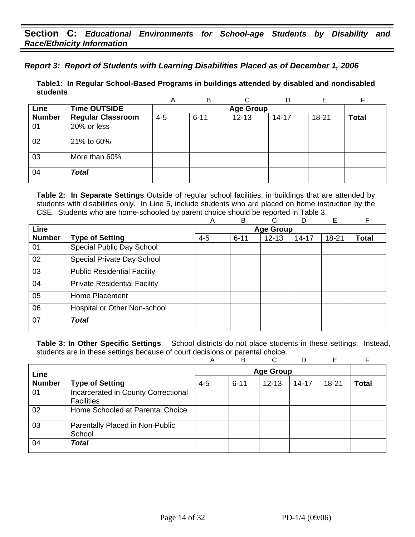#### *Report 3: Report of Students with Learning Disabilities Placed as of December 1, 2006*

**Table1: In Regular School-Based Programs in buildings attended by disabled and nondisabled students** 

|               |                          | Α       | B        |                  |           | F     |              |
|---------------|--------------------------|---------|----------|------------------|-----------|-------|--------------|
| <b>Line</b>   | <b>Time OUTSIDE</b>      |         |          | <b>Age Group</b> |           |       |              |
| <b>Number</b> | <b>Regular Classroom</b> | $4 - 5$ | $6 - 11$ | $12 - 13$        | $14 - 17$ | 18-21 | <b>Total</b> |
| 01            | 20% or less              |         |          |                  |           |       |              |
| 02            | 21% to 60%               |         |          |                  |           |       |              |
| 03            | More than 60%            |         |          |                  |           |       |              |
| 04            | <b>Total</b>             |         |          |                  |           |       |              |

**Table 2: In Separate Settings** Outside of regular school facilities, in buildings that are attended by students with disabilities only. In Line 5, include students who are placed on home instruction by the CSE. Students who are home-schooled by parent choice should be reported in Table 3.

|               |                                     | A       | B        | C                | D         | E         | F            |
|---------------|-------------------------------------|---------|----------|------------------|-----------|-----------|--------------|
| Line          |                                     |         |          | <b>Age Group</b> |           |           |              |
| <b>Number</b> | <b>Type of Setting</b>              | $4 - 5$ | $6 - 11$ | $12 - 13$        | $14 - 17$ | $18 - 21$ | <b>Total</b> |
| 01            | Special Public Day School           |         |          |                  |           |           |              |
| 02            | Special Private Day School          |         |          |                  |           |           |              |
| 03            | <b>Public Residential Facility</b>  |         |          |                  |           |           |              |
| 04            | <b>Private Residential Facility</b> |         |          |                  |           |           |              |
| 05            | Home Placement                      |         |          |                  |           |           |              |
| 06            | Hospital or Other Non-school        |         |          |                  |           |           |              |
| 07            | Total                               |         |          |                  |           |           |              |

|               |                                                          | Α       | B                | C         | D         | Е     |              |  |  |
|---------------|----------------------------------------------------------|---------|------------------|-----------|-----------|-------|--------------|--|--|
| Line          |                                                          |         | <b>Age Group</b> |           |           |       |              |  |  |
| <b>Number</b> | <b>Type of Setting</b>                                   | $4 - 5$ | $6 - 11$         | $12 - 13$ | $14 - 17$ | 18-21 | <b>Total</b> |  |  |
| 01            | Incarcerated in County Correctional<br><b>Facilities</b> |         |                  |           |           |       |              |  |  |
| 02            | Home Schooled at Parental Choice                         |         |                  |           |           |       |              |  |  |
| 03            | Parentally Placed in Non-Public<br>School                |         |                  |           |           |       |              |  |  |
| 04            | <b>Total</b>                                             |         |                  |           |           |       |              |  |  |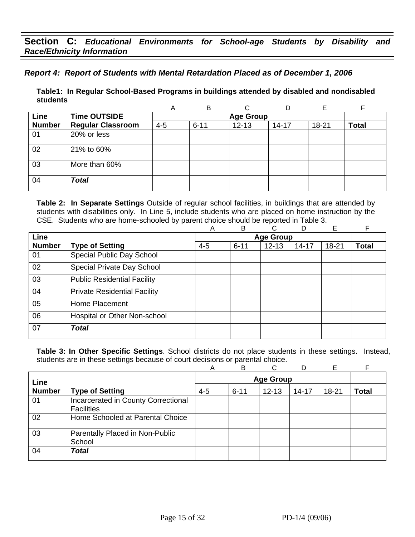## *Report 4: Report of Students with Mental Retardation Placed as of December 1, 2006*

**Table1: In Regular School-Based Programs in buildings attended by disabled and nondisabled students** 

|               |                          | A       | B        |                  | D         |       |              |
|---------------|--------------------------|---------|----------|------------------|-----------|-------|--------------|
| Line          | <b>Time OUTSIDE</b>      |         |          | <b>Age Group</b> |           |       |              |
| <b>Number</b> | <b>Regular Classroom</b> | $4 - 5$ | $6 - 11$ | $12 - 13$        | $14 - 17$ | 18-21 | <b>Total</b> |
| 01            | 20% or less              |         |          |                  |           |       |              |
| 02            | 21% to 60%               |         |          |                  |           |       |              |
| 03            | More than 60%            |         |          |                  |           |       |              |
| 04            | <b>Total</b>             |         |          |                  |           |       |              |

**Table 2: In Separate Settings** Outside of regular school facilities, in buildings that are attended by students with disabilities only. In Line 5, include students who are placed on home instruction by the CSE. Students who are home-schooled by parent choice should be reported in Table 3.

|               |                                     | Α       | B                | C.        | D         | Е     | F            |  |  |
|---------------|-------------------------------------|---------|------------------|-----------|-----------|-------|--------------|--|--|
| Line          |                                     |         | <b>Age Group</b> |           |           |       |              |  |  |
| <b>Number</b> | <b>Type of Setting</b>              | $4 - 5$ | $6 - 11$         | $12 - 13$ | $14 - 17$ | 18-21 | <b>Total</b> |  |  |
| 01            | Special Public Day School           |         |                  |           |           |       |              |  |  |
| 02            | Special Private Day School          |         |                  |           |           |       |              |  |  |
| 03            | <b>Public Residential Facility</b>  |         |                  |           |           |       |              |  |  |
| 04            | <b>Private Residential Facility</b> |         |                  |           |           |       |              |  |  |
| 05            | Home Placement                      |         |                  |           |           |       |              |  |  |
| 06            | Hospital or Other Non-school        |         |                  |           |           |       |              |  |  |
| 07            | <b>Total</b>                        |         |                  |           |           |       |              |  |  |
|               |                                     |         |                  |           |           |       |              |  |  |

|               |                                                          | A       | B                | C         | D         | Е         |       |  |  |
|---------------|----------------------------------------------------------|---------|------------------|-----------|-----------|-----------|-------|--|--|
| Line          |                                                          |         | <b>Age Group</b> |           |           |           |       |  |  |
| <b>Number</b> | <b>Type of Setting</b>                                   | $4 - 5$ | $6 - 11$         | $12 - 13$ | $14 - 17$ | $18 - 21$ | Total |  |  |
| 01            | Incarcerated in County Correctional<br><b>Facilities</b> |         |                  |           |           |           |       |  |  |
| 02            | Home Schooled at Parental Choice                         |         |                  |           |           |           |       |  |  |
| 03            | Parentally Placed in Non-Public<br>School                |         |                  |           |           |           |       |  |  |
| 04            | <b>Total</b>                                             |         |                  |           |           |           |       |  |  |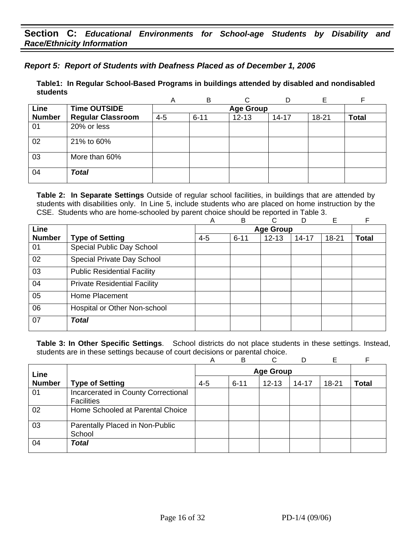### *Report 5: Report of Students with Deafness Placed as of December 1, 2006*

**Table1: In Regular School-Based Programs in buildings attended by disabled and nondisabled students** 

|               |                          | A       | B        |                  | D         | Е     | F            |
|---------------|--------------------------|---------|----------|------------------|-----------|-------|--------------|
| Line          | <b>Time OUTSIDE</b>      |         |          | <b>Age Group</b> |           |       |              |
| <b>Number</b> | <b>Regular Classroom</b> | $4 - 5$ | $6 - 11$ | $12 - 13$        | $14 - 17$ | 18-21 | <b>Total</b> |
| 01            | 20% or less              |         |          |                  |           |       |              |
| 02            | 21% to 60%               |         |          |                  |           |       |              |
| 03            | More than 60%            |         |          |                  |           |       |              |
| 04            | <b>Total</b>             |         |          |                  |           |       |              |

**Table 2: In Separate Settings** Outside of regular school facilities, in buildings that are attended by students with disabilities only. In Line 5, include students who are placed on home instruction by the CSE. Students who are home-schooled by parent choice should be reported in Table 3.

|               |                                     | Α       | B        | C                | D         | E         | F            |
|---------------|-------------------------------------|---------|----------|------------------|-----------|-----------|--------------|
| Line          |                                     |         |          | <b>Age Group</b> |           |           |              |
| <b>Number</b> | <b>Type of Setting</b>              | $4 - 5$ | $6 - 11$ | $12 - 13$        | $14 - 17$ | $18 - 21$ | <b>Total</b> |
| 01            | Special Public Day School           |         |          |                  |           |           |              |
| 02            | Special Private Day School          |         |          |                  |           |           |              |
| 03            | <b>Public Residential Facility</b>  |         |          |                  |           |           |              |
| 04            | <b>Private Residential Facility</b> |         |          |                  |           |           |              |
| 05            | Home Placement                      |         |          |                  |           |           |              |
| 06            | Hospital or Other Non-school        |         |          |                  |           |           |              |
| 07            | <b>Total</b>                        |         |          |                  |           |           |              |

|               |                                                          | Α       | B                | C         |           | Е     |              |  |  |
|---------------|----------------------------------------------------------|---------|------------------|-----------|-----------|-------|--------------|--|--|
| Line          |                                                          |         | <b>Age Group</b> |           |           |       |              |  |  |
| <b>Number</b> | <b>Type of Setting</b>                                   | $4 - 5$ | $6 - 11$         | $12 - 13$ | $14 - 17$ | 18-21 | <b>Total</b> |  |  |
| 01            | Incarcerated in County Correctional<br><b>Facilities</b> |         |                  |           |           |       |              |  |  |
| 02            | Home Schooled at Parental Choice                         |         |                  |           |           |       |              |  |  |
| 03            | Parentally Placed in Non-Public<br>School                |         |                  |           |           |       |              |  |  |
| 04            | <b>Total</b>                                             |         |                  |           |           |       |              |  |  |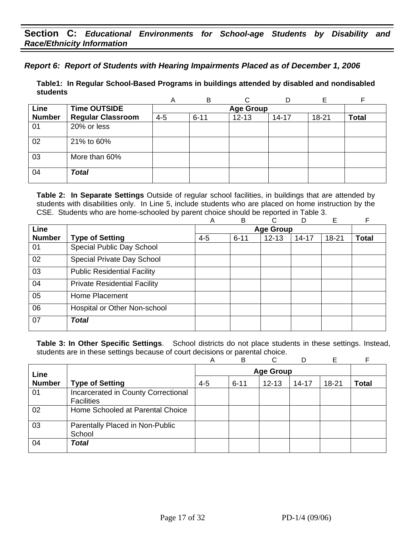#### *Report 6: Report of Students with Hearing Impairments Placed as of December 1, 2006*

**Table1: In Regular School-Based Programs in buildings attended by disabled and nondisabled students** 

|               |                          | Α       | B        |                  |           | F     |              |
|---------------|--------------------------|---------|----------|------------------|-----------|-------|--------------|
| <b>Line</b>   | <b>Time OUTSIDE</b>      |         |          | <b>Age Group</b> |           |       |              |
| <b>Number</b> | <b>Regular Classroom</b> | $4 - 5$ | $6 - 11$ | $12 - 13$        | $14 - 17$ | 18-21 | <b>Total</b> |
| 01            | 20% or less              |         |          |                  |           |       |              |
| 02            | 21% to 60%               |         |          |                  |           |       |              |
| 03            | More than 60%            |         |          |                  |           |       |              |
| 04            | <b>Total</b>             |         |          |                  |           |       |              |

**Table 2: In Separate Settings** Outside of regular school facilities, in buildings that are attended by students with disabilities only. In Line 5, include students who are placed on home instruction by the CSE. Students who are home-schooled by parent choice should be reported in Table 3.

|               |                                     | A       | B        | C                | D         | E         | F            |
|---------------|-------------------------------------|---------|----------|------------------|-----------|-----------|--------------|
| Line          |                                     |         |          | <b>Age Group</b> |           |           |              |
| <b>Number</b> | <b>Type of Setting</b>              | $4 - 5$ | $6 - 11$ | $12 - 13$        | $14 - 17$ | $18 - 21$ | <b>Total</b> |
| 01            | Special Public Day School           |         |          |                  |           |           |              |
| 02            | Special Private Day School          |         |          |                  |           |           |              |
| 03            | <b>Public Residential Facility</b>  |         |          |                  |           |           |              |
| 04            | <b>Private Residential Facility</b> |         |          |                  |           |           |              |
| 05            | Home Placement                      |         |          |                  |           |           |              |
| 06            | Hospital or Other Non-school        |         |          |                  |           |           |              |
| 07            | Total                               |         |          |                  |           |           |              |

|               |                                                          | Α       | B                | C         |           | Е     |              |  |  |
|---------------|----------------------------------------------------------|---------|------------------|-----------|-----------|-------|--------------|--|--|
| Line          |                                                          |         | <b>Age Group</b> |           |           |       |              |  |  |
| <b>Number</b> | <b>Type of Setting</b>                                   | $4 - 5$ | $6 - 11$         | $12 - 13$ | $14 - 17$ | 18-21 | <b>Total</b> |  |  |
| 01            | Incarcerated in County Correctional<br><b>Facilities</b> |         |                  |           |           |       |              |  |  |
| 02            | Home Schooled at Parental Choice                         |         |                  |           |           |       |              |  |  |
| 03            | Parentally Placed in Non-Public<br>School                |         |                  |           |           |       |              |  |  |
| 04            | <b>Total</b>                                             |         |                  |           |           |       |              |  |  |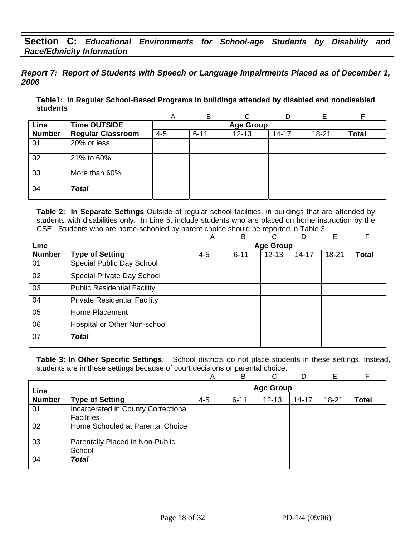#### *Report 7: Report of Students with Speech or Language Impairments Placed as of December 1, 2006*

**Table1: In Regular School-Based Programs in buildings attended by disabled and nondisabled students** 

|               |                          | A       | <sub>B</sub>     |           | D         |       |              |  |  |  |
|---------------|--------------------------|---------|------------------|-----------|-----------|-------|--------------|--|--|--|
| Line          | <b>Time OUTSIDE</b>      |         | <b>Age Group</b> |           |           |       |              |  |  |  |
| <b>Number</b> | <b>Regular Classroom</b> | $4 - 5$ | $6 - 11$         | $12 - 13$ | $14 - 17$ | 18-21 | <b>Total</b> |  |  |  |
| 01            | 20% or less              |         |                  |           |           |       |              |  |  |  |
| 02            | 21% to 60%               |         |                  |           |           |       |              |  |  |  |
| 03            | More than 60%            |         |                  |           |           |       |              |  |  |  |
| 04            | <b>Total</b>             |         |                  |           |           |       |              |  |  |  |

**Table 2: In Separate Settings** Outside of regular school facilities, in buildings that are attended by students with disabilities only. In Line 5, include students who are placed on home instruction by the CSE. Students who are home-schooled by parent choice should be reported in Table 3.

|               |                                     | Α       | B        | C                | D         | Е         | F            |
|---------------|-------------------------------------|---------|----------|------------------|-----------|-----------|--------------|
| Line          |                                     |         |          | <b>Age Group</b> |           |           |              |
| <b>Number</b> | <b>Type of Setting</b>              | $4 - 5$ | $6 - 11$ | $12 - 13$        | $14 - 17$ | $18 - 21$ | <b>Total</b> |
| 01            | Special Public Day School           |         |          |                  |           |           |              |
| 02            | Special Private Day School          |         |          |                  |           |           |              |
| 03            | <b>Public Residential Facility</b>  |         |          |                  |           |           |              |
| 04            | <b>Private Residential Facility</b> |         |          |                  |           |           |              |
| 05            | Home Placement                      |         |          |                  |           |           |              |
| 06            | Hospital or Other Non-school        |         |          |                  |           |           |              |
| 07            | <b>Total</b>                        |         |          |                  |           |           |              |

|               |                                                          | Α       | B        | C                |           | E     |       |
|---------------|----------------------------------------------------------|---------|----------|------------------|-----------|-------|-------|
| Line          |                                                          |         |          | <b>Age Group</b> |           |       |       |
| <b>Number</b> | <b>Type of Setting</b>                                   | $4 - 5$ | $6 - 11$ | $12 - 13$        | $14 - 17$ | 18-21 | Total |
| 01            | Incarcerated in County Correctional<br><b>Facilities</b> |         |          |                  |           |       |       |
| 02            | Home Schooled at Parental Choice                         |         |          |                  |           |       |       |
| 03            | Parentally Placed in Non-Public<br>School                |         |          |                  |           |       |       |
| 04            | <b>Total</b>                                             |         |          |                  |           |       |       |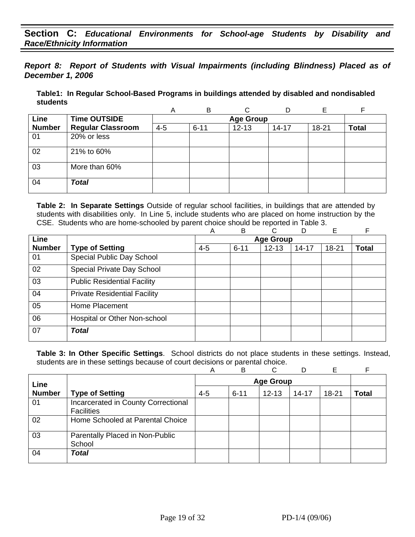*Report 8: Report of Students with Visual Impairments (including Blindness) Placed as of December 1, 2006* 

**Table1: In Regular School-Based Programs in buildings attended by disabled and nondisabled students** 

|               |                          | A       | B        |                  | D         | Е     |              |
|---------------|--------------------------|---------|----------|------------------|-----------|-------|--------------|
| Line          | <b>Time OUTSIDE</b>      |         |          | <b>Age Group</b> |           |       |              |
| <b>Number</b> | <b>Regular Classroom</b> | $4 - 5$ | $6 - 11$ | $12 - 13$        | $14 - 17$ | 18-21 | <b>Total</b> |
| 01            | 20% or less              |         |          |                  |           |       |              |
| 02            | 21% to 60%               |         |          |                  |           |       |              |
| 03            | More than 60%            |         |          |                  |           |       |              |
| 04            | <b>Total</b>             |         |          |                  |           |       |              |

**Table 2: In Separate Settings** Outside of regular school facilities, in buildings that are attended by students with disabilities only. In Line 5, include students who are placed on home instruction by the CSE. Students who are home-schooled by parent choice should be reported in Table 3.

|               |                                     | A       | B                | C         | D         | Е         | F            |  |  |
|---------------|-------------------------------------|---------|------------------|-----------|-----------|-----------|--------------|--|--|
| Line          |                                     |         | <b>Age Group</b> |           |           |           |              |  |  |
| <b>Number</b> | <b>Type of Setting</b>              | $4 - 5$ | $6 - 11$         | $12 - 13$ | $14 - 17$ | $18 - 21$ | <b>Total</b> |  |  |
| 01            | Special Public Day School           |         |                  |           |           |           |              |  |  |
| 02            | Special Private Day School          |         |                  |           |           |           |              |  |  |
| 03            | <b>Public Residential Facility</b>  |         |                  |           |           |           |              |  |  |
| 04            | <b>Private Residential Facility</b> |         |                  |           |           |           |              |  |  |
| 05            | Home Placement                      |         |                  |           |           |           |              |  |  |
| 06            | Hospital or Other Non-school        |         |                  |           |           |           |              |  |  |
| 07            | <b>Total</b>                        |         |                  |           |           |           |              |  |  |
|               |                                     |         |                  |           |           |           |              |  |  |

|               |                                                          | Α       | B        | ◠                |           | Е         |       |
|---------------|----------------------------------------------------------|---------|----------|------------------|-----------|-----------|-------|
| Line          |                                                          |         |          | <b>Age Group</b> |           |           |       |
| <b>Number</b> | <b>Type of Setting</b>                                   | $4 - 5$ | $6 - 11$ | $12 - 13$        | $14 - 17$ | $18 - 21$ | Total |
| 01            | Incarcerated in County Correctional<br><b>Facilities</b> |         |          |                  |           |           |       |
| 02            | Home Schooled at Parental Choice                         |         |          |                  |           |           |       |
| 03            | Parentally Placed in Non-Public<br>School                |         |          |                  |           |           |       |
| 04            | <b>Total</b>                                             |         |          |                  |           |           |       |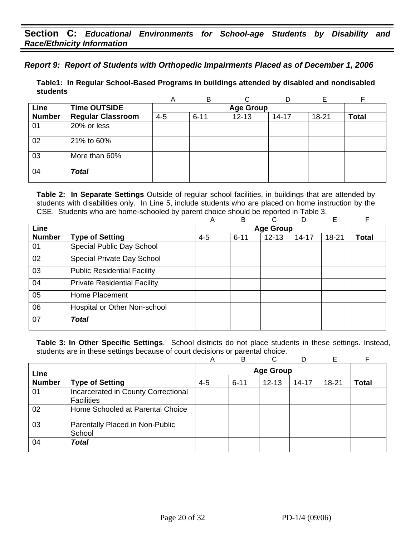#### *Report 9: Report of Students with Orthopedic Impairments Placed as of December 1, 2006*

**Table1: In Regular School-Based Programs in buildings attended by disabled and nondisabled students** 

|               |                          | A       | B                |           | D         | Е         |              |  |  |  |  |
|---------------|--------------------------|---------|------------------|-----------|-----------|-----------|--------------|--|--|--|--|
| Line          | <b>Time OUTSIDE</b>      |         | <b>Age Group</b> |           |           |           |              |  |  |  |  |
| <b>Number</b> | <b>Regular Classroom</b> | $4 - 5$ | $6 - 11$         | $12 - 13$ | $14 - 17$ | $18 - 21$ | <b>Total</b> |  |  |  |  |
| 01            | 20% or less              |         |                  |           |           |           |              |  |  |  |  |
| 02            | 21% to 60%               |         |                  |           |           |           |              |  |  |  |  |
| 03            | More than 60%            |         |                  |           |           |           |              |  |  |  |  |
| 04            | <b>Total</b>             |         |                  |           |           |           |              |  |  |  |  |

**Table 2: In Separate Settings** Outside of regular school facilities, in buildings that are attended by students with disabilities only. In Line 5, include students who are placed on home instruction by the CSE. Students who are home-schooled by parent choice should be reported in Table 3.

|               |                                     | Α       | B                | C         | D         | Е         | F            |  |  |
|---------------|-------------------------------------|---------|------------------|-----------|-----------|-----------|--------------|--|--|
| Line          |                                     |         | <b>Age Group</b> |           |           |           |              |  |  |
| <b>Number</b> | <b>Type of Setting</b>              | $4 - 5$ | $6 - 11$         | $12 - 13$ | $14 - 17$ | $18 - 21$ | <b>Total</b> |  |  |
| 01            | Special Public Day School           |         |                  |           |           |           |              |  |  |
| 02            | Special Private Day School          |         |                  |           |           |           |              |  |  |
| 03            | <b>Public Residential Facility</b>  |         |                  |           |           |           |              |  |  |
| 04            | <b>Private Residential Facility</b> |         |                  |           |           |           |              |  |  |
| 05            | Home Placement                      |         |                  |           |           |           |              |  |  |
| 06            | Hospital or Other Non-school        |         |                  |           |           |           |              |  |  |
| 07            | Total                               |         |                  |           |           |           |              |  |  |

|               |                                                          | Α       | B                | C         |           | Е         |              |  |  |
|---------------|----------------------------------------------------------|---------|------------------|-----------|-----------|-----------|--------------|--|--|
| Line          |                                                          |         | <b>Age Group</b> |           |           |           |              |  |  |
| <b>Number</b> | <b>Type of Setting</b>                                   | $4 - 5$ | $6 - 11$         | $12 - 13$ | $14 - 17$ | $18 - 21$ | <b>Total</b> |  |  |
| 01            | Incarcerated in County Correctional<br><b>Facilities</b> |         |                  |           |           |           |              |  |  |
| 02            | Home Schooled at Parental Choice                         |         |                  |           |           |           |              |  |  |
| 03            | Parentally Placed in Non-Public<br>School                |         |                  |           |           |           |              |  |  |
| 04            | Total                                                    |         |                  |           |           |           |              |  |  |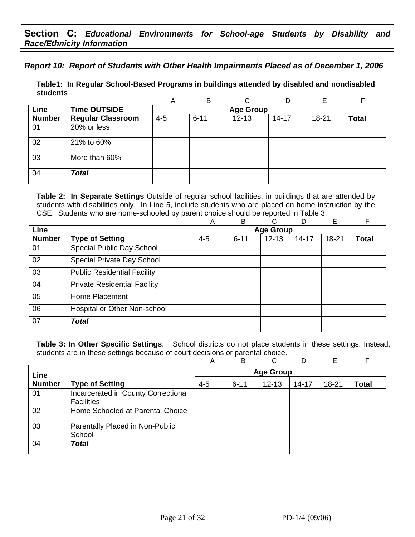#### *Report 10: Report of Students with Other Health Impairments Placed as of December 1, 2006*

**Table1: In Regular School-Based Programs in buildings attended by disabled and nondisabled students** 

|               |                          | A       | B        |                  | D         |       | F            |
|---------------|--------------------------|---------|----------|------------------|-----------|-------|--------------|
| Line          | <b>Time OUTSIDE</b>      |         |          | <b>Age Group</b> |           |       |              |
| <b>Number</b> | <b>Regular Classroom</b> | $4 - 5$ | $6 - 11$ | $12 - 13$        | $14 - 17$ | 18-21 | <b>Total</b> |
| 01            | 20% or less              |         |          |                  |           |       |              |
| 02            | 21% to 60%               |         |          |                  |           |       |              |
| 03            | More than 60%            |         |          |                  |           |       |              |
| 04            | <b>Total</b>             |         |          |                  |           |       |              |

**Table 2: In Separate Settings** Outside of regular school facilities, in buildings that are attended by students with disabilities only. In Line 5, include students who are placed on home instruction by the CSE. Students who are home-schooled by parent choice should be reported in Table 3.

|               |                                     | Α       | B        | C                | D         | E         | F            |
|---------------|-------------------------------------|---------|----------|------------------|-----------|-----------|--------------|
| Line          |                                     |         |          | <b>Age Group</b> |           |           |              |
| <b>Number</b> | <b>Type of Setting</b>              | $4 - 5$ | $6 - 11$ | $12 - 13$        | $14 - 17$ | $18 - 21$ | <b>Total</b> |
| 01            | Special Public Day School           |         |          |                  |           |           |              |
| 02            | Special Private Day School          |         |          |                  |           |           |              |
| 03            | <b>Public Residential Facility</b>  |         |          |                  |           |           |              |
| 04            | <b>Private Residential Facility</b> |         |          |                  |           |           |              |
| 05            | Home Placement                      |         |          |                  |           |           |              |
| 06            | Hospital or Other Non-school        |         |          |                  |           |           |              |
| 07            | <b>Total</b>                        |         |          |                  |           |           |              |

|               |                                                          | Α       | B                | C         |           | Е         |              |  |  |
|---------------|----------------------------------------------------------|---------|------------------|-----------|-----------|-----------|--------------|--|--|
| Line          |                                                          |         | <b>Age Group</b> |           |           |           |              |  |  |
| <b>Number</b> | <b>Type of Setting</b>                                   | $4 - 5$ | $6 - 11$         | $12 - 13$ | $14 - 17$ | $18 - 21$ | <b>Total</b> |  |  |
| 01            | Incarcerated in County Correctional<br><b>Facilities</b> |         |                  |           |           |           |              |  |  |
| 02            | Home Schooled at Parental Choice                         |         |                  |           |           |           |              |  |  |
| 03            | Parentally Placed in Non-Public<br>School                |         |                  |           |           |           |              |  |  |
| 04            | <b>Total</b>                                             |         |                  |           |           |           |              |  |  |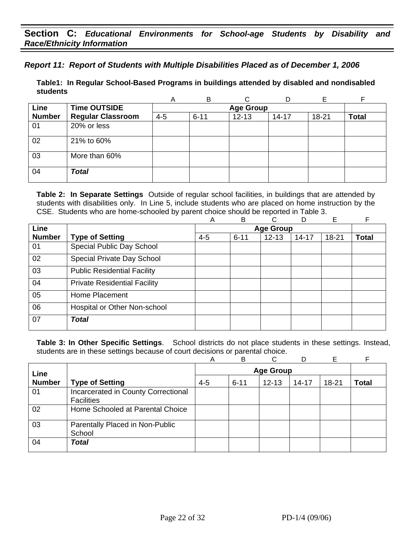#### *Report 11: Report of Students with Multiple Disabilities Placed as of December 1, 2006*

**Table1: In Regular School-Based Programs in buildings attended by disabled and nondisabled students** 

|               |                          | A       | B        |                  | D         |       | F            |
|---------------|--------------------------|---------|----------|------------------|-----------|-------|--------------|
| Line          | <b>Time OUTSIDE</b>      |         |          | <b>Age Group</b> |           |       |              |
| <b>Number</b> | <b>Regular Classroom</b> | $4 - 5$ | $6 - 11$ | $12 - 13$        | $14 - 17$ | 18-21 | <b>Total</b> |
| 01            | 20% or less              |         |          |                  |           |       |              |
| 02            | 21% to 60%               |         |          |                  |           |       |              |
| 03            | More than 60%            |         |          |                  |           |       |              |
| 04            | <b>Total</b>             |         |          |                  |           |       |              |

**Table 2: In Separate Settings** Outside of regular school facilities, in buildings that are attended by students with disabilities only. In Line 5, include students who are placed on home instruction by the CSE. Students who are home-schooled by parent choice should be reported in Table 3.

|               |                                     | A       | B                | C         | D         | Е         | F            |  |  |
|---------------|-------------------------------------|---------|------------------|-----------|-----------|-----------|--------------|--|--|
| <b>Line</b>   |                                     |         | <b>Age Group</b> |           |           |           |              |  |  |
| <b>Number</b> | <b>Type of Setting</b>              | $4 - 5$ | $6 - 11$         | $12 - 13$ | $14 - 17$ | $18 - 21$ | <b>Total</b> |  |  |
| 01            | Special Public Day School           |         |                  |           |           |           |              |  |  |
| 02            | Special Private Day School          |         |                  |           |           |           |              |  |  |
| 03            | <b>Public Residential Facility</b>  |         |                  |           |           |           |              |  |  |
| 04            | <b>Private Residential Facility</b> |         |                  |           |           |           |              |  |  |
| 05            | Home Placement                      |         |                  |           |           |           |              |  |  |
| 06            | Hospital or Other Non-school        |         |                  |           |           |           |              |  |  |
| 07            | Total                               |         |                  |           |           |           |              |  |  |

|               |                                                          | Α       | B                | C         | D         | F         |       |  |  |
|---------------|----------------------------------------------------------|---------|------------------|-----------|-----------|-----------|-------|--|--|
| Line          |                                                          |         | <b>Age Group</b> |           |           |           |       |  |  |
| <b>Number</b> | <b>Type of Setting</b>                                   | $4 - 5$ | $6 - 11$         | $12 - 13$ | $14 - 17$ | $18 - 21$ | Total |  |  |
| 01            | Incarcerated in County Correctional<br><b>Facilities</b> |         |                  |           |           |           |       |  |  |
| 02            | Home Schooled at Parental Choice                         |         |                  |           |           |           |       |  |  |
| 03            | Parentally Placed in Non-Public<br>School                |         |                  |           |           |           |       |  |  |
| 04            | <b>Total</b>                                             |         |                  |           |           |           |       |  |  |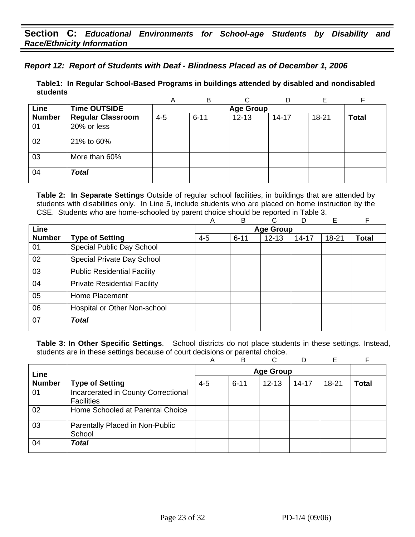#### *Report 12: Report of Students with Deaf - Blindness Placed as of December 1, 2006*

**Table1: In Regular School-Based Programs in buildings attended by disabled and nondisabled students** 

|               |                          | Α       | B        |                  |           | Е     |              |
|---------------|--------------------------|---------|----------|------------------|-----------|-------|--------------|
| Line          | <b>Time OUTSIDE</b>      |         |          | <b>Age Group</b> |           |       |              |
| <b>Number</b> | <b>Regular Classroom</b> | $4 - 5$ | $6 - 11$ | $12 - 13$        | $14 - 17$ | 18-21 | <b>Total</b> |
| 01            | 20% or less              |         |          |                  |           |       |              |
| 02            | 21% to 60%               |         |          |                  |           |       |              |
| 03            | More than 60%            |         |          |                  |           |       |              |
| 04            | <b>Total</b>             |         |          |                  |           |       |              |

**Table 2: In Separate Settings** Outside of regular school facilities, in buildings that are attended by students with disabilities only. In Line 5, include students who are placed on home instruction by the CSE. Students who are home-schooled by parent choice should be reported in Table 3.

|               |                                     | Α       | B        | C                | D         | E         | F            |
|---------------|-------------------------------------|---------|----------|------------------|-----------|-----------|--------------|
| Line          |                                     |         |          | <b>Age Group</b> |           |           |              |
| <b>Number</b> | <b>Type of Setting</b>              | $4 - 5$ | $6 - 11$ | $12 - 13$        | $14 - 17$ | $18 - 21$ | <b>Total</b> |
| 01            | Special Public Day School           |         |          |                  |           |           |              |
| 02            | Special Private Day School          |         |          |                  |           |           |              |
| 03            | <b>Public Residential Facility</b>  |         |          |                  |           |           |              |
| 04            | <b>Private Residential Facility</b> |         |          |                  |           |           |              |
| 05            | Home Placement                      |         |          |                  |           |           |              |
| 06            | Hospital or Other Non-school        |         |          |                  |           |           |              |
| 07            | <b>Total</b>                        |         |          |                  |           |           |              |

|               |                                                          | Α       | B                | C         |           | Е     |              |  |
|---------------|----------------------------------------------------------|---------|------------------|-----------|-----------|-------|--------------|--|
| Line          |                                                          |         | <b>Age Group</b> |           |           |       |              |  |
| <b>Number</b> | <b>Type of Setting</b>                                   | $4 - 5$ | $6 - 11$         | $12 - 13$ | $14 - 17$ | 18-21 | <b>Total</b> |  |
| 01            | Incarcerated in County Correctional<br><b>Facilities</b> |         |                  |           |           |       |              |  |
| 02            | Home Schooled at Parental Choice                         |         |                  |           |           |       |              |  |
| 03            | Parentally Placed in Non-Public<br>School                |         |                  |           |           |       |              |  |
| 04            | <b>Total</b>                                             |         |                  |           |           |       |              |  |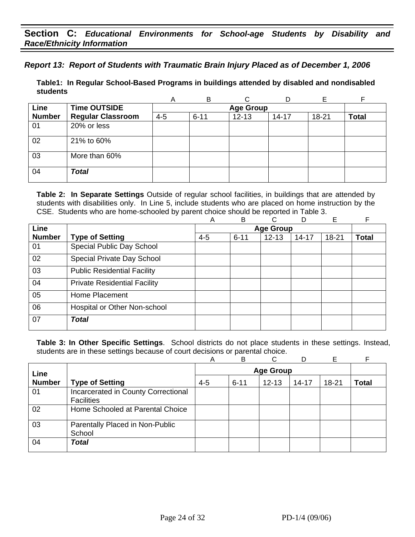#### *Report 13: Report of Students with Traumatic Brain Injury Placed as of December 1, 2006*

**Table1: In Regular School-Based Programs in buildings attended by disabled and nondisabled students** 

|               |                          | A       | B        |                  | D         | E         |              |
|---------------|--------------------------|---------|----------|------------------|-----------|-----------|--------------|
| Line          | <b>Time OUTSIDE</b>      |         |          | <b>Age Group</b> |           |           |              |
| <b>Number</b> | <b>Regular Classroom</b> | $4 - 5$ | $6 - 11$ | $12 - 13$        | $14 - 17$ | $18 - 21$ | <b>Total</b> |
| 01            | 20% or less              |         |          |                  |           |           |              |
| 02            | 21% to 60%               |         |          |                  |           |           |              |
| 03            | More than 60%            |         |          |                  |           |           |              |
| 04            | <b>Total</b>             |         |          |                  |           |           |              |

**Table 2: In Separate Settings** Outside of regular school facilities, in buildings that are attended by students with disabilities only. In Line 5, include students who are placed on home instruction by the CSE. Students who are home-schooled by parent choice should be reported in Table 3.

|               |                                     | Α       | B                | C         | D         | Е         | F            |  |  |
|---------------|-------------------------------------|---------|------------------|-----------|-----------|-----------|--------------|--|--|
| Line          |                                     |         | <b>Age Group</b> |           |           |           |              |  |  |
| <b>Number</b> | <b>Type of Setting</b>              | $4 - 5$ | $6 - 11$         | $12 - 13$ | $14 - 17$ | $18 - 21$ | <b>Total</b> |  |  |
| 01            | Special Public Day School           |         |                  |           |           |           |              |  |  |
| 02            | Special Private Day School          |         |                  |           |           |           |              |  |  |
| 03            | <b>Public Residential Facility</b>  |         |                  |           |           |           |              |  |  |
| 04            | <b>Private Residential Facility</b> |         |                  |           |           |           |              |  |  |
| 05            | Home Placement                      |         |                  |           |           |           |              |  |  |
| 06            | Hospital or Other Non-school        |         |                  |           |           |           |              |  |  |
| 07            | Total                               |         |                  |           |           |           |              |  |  |

|               |                                                          | Α       | B                | C         | D         | F         |       |  |  |
|---------------|----------------------------------------------------------|---------|------------------|-----------|-----------|-----------|-------|--|--|
| Line          |                                                          |         | <b>Age Group</b> |           |           |           |       |  |  |
| <b>Number</b> | <b>Type of Setting</b>                                   | $4 - 5$ | $6 - 11$         | $12 - 13$ | $14 - 17$ | $18 - 21$ | Total |  |  |
| 01            | Incarcerated in County Correctional<br><b>Facilities</b> |         |                  |           |           |           |       |  |  |
| 02            | Home Schooled at Parental Choice                         |         |                  |           |           |           |       |  |  |
| 03            | Parentally Placed in Non-Public<br>School                |         |                  |           |           |           |       |  |  |
| 04            | <b>Total</b>                                             |         |                  |           |           |           |       |  |  |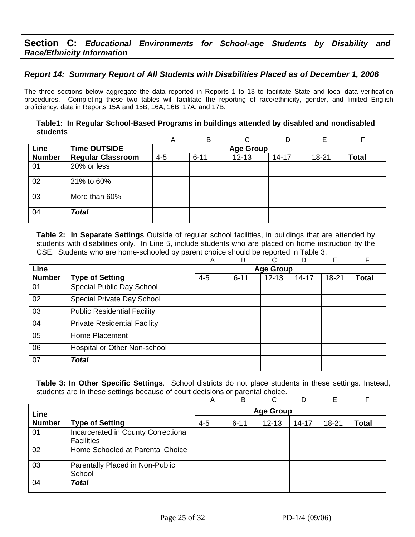### *Report 14: Summary Report of All Students with Disabilities Placed as of December 1, 2006*

The three sections below aggregate the data reported in Reports 1 to 13 to facilitate State and local data verification procedures. Completing these two tables will facilitate the reporting of race/ethnicity, gender, and limited English proficiency, data in Reports 15A and 15B, 16A, 16B, 17A, and 17B.

#### **Table1: In Regular School-Based Programs in buildings attended by disabled and nondisabled students**

|               |                          | Α       | B        | $\sim$           |           |       | E            |
|---------------|--------------------------|---------|----------|------------------|-----------|-------|--------------|
| Line          | <b>Time OUTSIDE</b>      |         |          | <b>Age Group</b> |           |       |              |
| <b>Number</b> | <b>Regular Classroom</b> | $4 - 5$ | $6 - 11$ | $12 - 13$        | $14 - 17$ | 18-21 | <b>Total</b> |
| 01            | 20% or less              |         |          |                  |           |       |              |
| 02            | 21% to 60%               |         |          |                  |           |       |              |
| 03            | More than 60%            |         |          |                  |           |       |              |
| 04            | <b>Total</b>             |         |          |                  |           |       |              |

**Table 2: In Separate Settings** Outside of regular school facilities, in buildings that are attended by students with disabilities only. In Line 5, include students who are placed on home instruction by the CSE. Students who are home-schooled by parent choice should be reported in Table 3.

|               |                                     | Α       | B        | C                | D         | Е         | F            |
|---------------|-------------------------------------|---------|----------|------------------|-----------|-----------|--------------|
| <b>Line</b>   |                                     |         |          | <b>Age Group</b> |           |           |              |
| <b>Number</b> | <b>Type of Setting</b>              | $4 - 5$ | $6 - 11$ | $12 - 13$        | $14 - 17$ | $18 - 21$ | <b>Total</b> |
| 01            | Special Public Day School           |         |          |                  |           |           |              |
| 02            | Special Private Day School          |         |          |                  |           |           |              |
| 03            | <b>Public Residential Facility</b>  |         |          |                  |           |           |              |
| 04            | <b>Private Residential Facility</b> |         |          |                  |           |           |              |
| 05            | Home Placement                      |         |          |                  |           |           |              |
| 06            | Hospital or Other Non-school        |         |          |                  |           |           |              |
| 07            | <b>Total</b>                        |         |          |                  |           |           |              |

|               |                                                          | Α       | B        | ⌒         |           | E         |              |
|---------------|----------------------------------------------------------|---------|----------|-----------|-----------|-----------|--------------|
| Line          |                                                          |         |          |           |           |           |              |
| <b>Number</b> | <b>Type of Setting</b>                                   | $4 - 5$ | $6 - 11$ | $12 - 13$ | $14 - 17$ | $18 - 21$ | <b>Total</b> |
| 01            | Incarcerated in County Correctional<br><b>Facilities</b> |         |          |           |           |           |              |
| 02            | Home Schooled at Parental Choice                         |         |          |           |           |           |              |
| 03            | Parentally Placed in Non-Public<br>School                |         |          |           |           |           |              |
| 04            | <b>Total</b>                                             |         |          |           |           |           |              |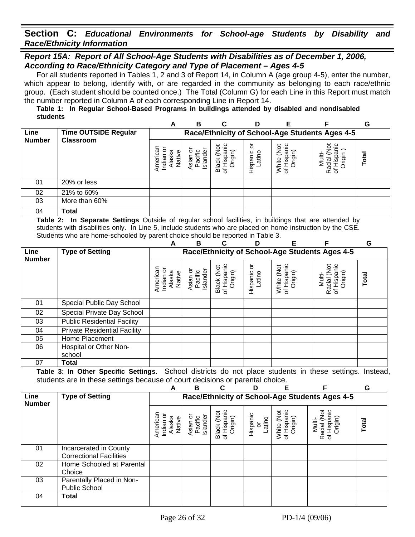### *Report 15A: Report of All School-Age Students with Disabilities as of December 1, 2006, According to Race/Ethnicity Category and Type of Placement – Ages 4-5*

For all students reported in Tables 1, 2 and 3 of Report 14, in Column A (age group 4-5), enter the number, which appear to belong, identify with, or are regarded in the community as belonging to each race/ethnic group. (Each student should be counted once.) The Total (Column G) for each Line in this Report must match the number reported in Column A of each corresponding Line in Report 14.

#### **Table 1: In Regular School-Based Programs in buildings attended by disabled and nondisabled students**

|               |                             | A                                                          | B                                              | С                | D                      | Е                                                | F                          | G     |  |  |  |
|---------------|-----------------------------|------------------------------------------------------------|------------------------------------------------|------------------|------------------------|--------------------------------------------------|----------------------------|-------|--|--|--|
| Line          | <b>Time OUTSIDE Regular</b> |                                                            | Race/Ethnicity of School-Age Students Ages 4-5 |                  |                        |                                                  |                            |       |  |  |  |
| <b>Number</b> | <b>Classroom</b>            | America<br>0<br>ā<br>Φ<br>Indian<br>$\frac{1}{2}$<br>√ati∖ | Islande<br><b>Asian</b><br>Pacifi              | ಕಾ<br>Black<br>৳ | ১<br>atino<br>Hispanic | '≒<br>ğ<br>rigin)<br>βã<br><u>ଟି</u><br>₽<br>১ ১ | ත<br>ত্ত<br>S<br>Raci<br>৳ | Total |  |  |  |
| 01            | 20% or less                 |                                                            |                                                |                  |                        |                                                  |                            |       |  |  |  |
| 02            | 21% to 60%                  |                                                            |                                                |                  |                        |                                                  |                            |       |  |  |  |
| 03            | More than 60%               |                                                            |                                                |                  |                        |                                                  |                            |       |  |  |  |
| 04            | Total                       |                                                            |                                                |                  |                        |                                                  |                            |       |  |  |  |

**Table 2: In Separate Settings** Outside of regular school facilities, in buildings that are attended by students with disabilities only. In Line 5, include students who are placed on home instruction by the CSE. Students who are home-schooled by parent choice should be reported in Table 3.

|                       |                                     | A                                         | в                                              | C                                    | D                       | Е                                    |                                                 | G     |  |
|-----------------------|-------------------------------------|-------------------------------------------|------------------------------------------------|--------------------------------------|-------------------------|--------------------------------------|-------------------------------------------------|-------|--|
| Line<br><b>Number</b> | <b>Type of Setting</b>              |                                           | Race/Ethnicity of School-Age Students Ages 4-5 |                                      |                         |                                      |                                                 |       |  |
|                       |                                     | American<br>Indian or<br>Alaska<br>Native | Asian or<br>Pacific<br>Islander                | Black (Not<br>of Hispanic<br>Origin) | ১<br>Hispanic<br>Latino | of Hispanic<br>Origin)<br>White (Not | of Hispanic<br>Origin)<br>Multi-<br>Racial (Not | Total |  |
| 01                    | Special Public Day School           |                                           |                                                |                                      |                         |                                      |                                                 |       |  |
| 02                    | Special Private Day School          |                                           |                                                |                                      |                         |                                      |                                                 |       |  |
| 03                    | <b>Public Residential Facility</b>  |                                           |                                                |                                      |                         |                                      |                                                 |       |  |
| 04                    | <b>Private Residential Facility</b> |                                           |                                                |                                      |                         |                                      |                                                 |       |  |
| 05                    | Home Placement                      |                                           |                                                |                                      |                         |                                      |                                                 |       |  |
| 06                    | Hospital or Other Non-              |                                           |                                                |                                      |                         |                                      |                                                 |       |  |
|                       | school                              |                                           |                                                |                                      |                         |                                      |                                                 |       |  |
| 07                    | Total                               |                                           |                                                |                                      |                         |                                      |                                                 |       |  |

|                       |                                                          |                                           | B                                              |                                      | D                        |                                              |                                                                        | G     |  |
|-----------------------|----------------------------------------------------------|-------------------------------------------|------------------------------------------------|--------------------------------------|--------------------------|----------------------------------------------|------------------------------------------------------------------------|-------|--|
| Line<br><b>Number</b> | <b>Type of Setting</b>                                   |                                           | Race/Ethnicity of School-Age Students Ages 4-5 |                                      |                          |                                              |                                                                        |       |  |
|                       |                                                          | American<br>Indian or<br>Native<br>Alaska | ō<br>Islander<br>Pacific<br>Asian              | Black (Not<br>of Hispanic<br>Origin) | Hispanic<br>or<br>Latino | of Hispanic<br>Origin)<br><b>DA</b><br>White | ぢ<br>Hispanic<br>Origin)<br>Racial (I<br>Multi-<br>$\overline{\sigma}$ | Total |  |
| 01                    | Incarcerated in County<br><b>Correctional Facilities</b> |                                           |                                                |                                      |                          |                                              |                                                                        |       |  |
| 02                    | Home Schooled at Parental<br>Choice                      |                                           |                                                |                                      |                          |                                              |                                                                        |       |  |
| 03                    | Parentally Placed in Non-<br><b>Public School</b>        |                                           |                                                |                                      |                          |                                              |                                                                        |       |  |
| 04                    | <b>Total</b>                                             |                                           |                                                |                                      |                          |                                              |                                                                        |       |  |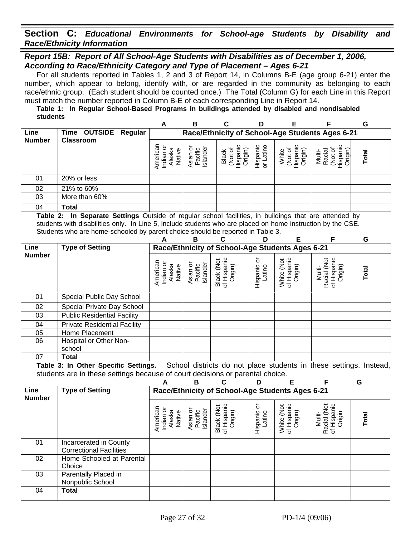### *Report 15B: Report of All School-Age Students with Disabilities as of December 1, 2006, According to Race/Ethnicity Category and Type of Placement – Ages 6-21*

For all students reported in Tables 1, 2 and 3 of Report 14, in Columns B-E (age group 6-21) enter the number, which appear to belong, identify with, or are regarded in the community as belonging to each race/ethnic group. (Each student should be counted once.) The Total (Column G) for each Line in this Report must match the number reported in Column B-E of each corresponding Line in Report 14.

#### **Table 1: In Regular School-Based Programs in buildings attended by disabled and nondisabled students**

|               |                      | A                                                   | в                                               | С      | D                    |                                       |                    | G     |  |  |  |
|---------------|----------------------|-----------------------------------------------------|-------------------------------------------------|--------|----------------------|---------------------------------------|--------------------|-------|--|--|--|
| Line          | Time OUTSIDE Regular |                                                     | Race/Ethnicity of School-Age Students Ages 6-21 |        |                      |                                       |                    |       |  |  |  |
| <b>Number</b> | <b>Classroom</b>     | ទូ<br>ᡕᢐ<br>Φ<br>흐<br>æ<br>ੌੌੌੌੌੌੌੌੌੌੌੌੌੌੌੌੌੌ<br>፟፼ | sland<br>Pacif<br>siar                          | Drigir | atino<br>Hispar<br>১ | (nigin<br><b>Vhite</b><br>lispar<br>ğ | Multi<br>ā<br>्कुं | Total |  |  |  |
| 01            | 20% or less          |                                                     |                                                 |        |                      |                                       |                    |       |  |  |  |
| 02            | 21% to 60%           |                                                     |                                                 |        |                      |                                       |                    |       |  |  |  |
| 03            | More than 60%        |                                                     |                                                 |        |                      |                                       |                    |       |  |  |  |
| 04            | Total                |                                                     |                                                 |        |                      |                                       |                    |       |  |  |  |

**Table 2: In Separate Settings** Outside of regular school facilities, in buildings that are attended by students with disabilities only. In Line 5, include students who are placed on home instruction by the CSE. Students who are home-schooled by parent choice should be reported in Table 3.

|               |                                     | А                                         | B                               | C                                               | D                       | Е                                    | F                                               | G            |
|---------------|-------------------------------------|-------------------------------------------|---------------------------------|-------------------------------------------------|-------------------------|--------------------------------------|-------------------------------------------------|--------------|
| Line          | <b>Type of Setting</b>              |                                           |                                 | Race/Ethnicity of School-Age Students Ages 6-21 |                         |                                      |                                                 |              |
| <b>Number</b> |                                     | American<br>Indian or<br>Alaska<br>Native | Asian or<br>Pacific<br>Islander | of Hispanic<br>Origin)<br>Black (Not            | ১<br>Hispanic<br>Latino | of Hispanic<br>Origin)<br>White (Not | Racial (Not<br>of Hispanic<br>Origin)<br>Multi- | <b>Total</b> |
| 01            | Special Public Day School           |                                           |                                 |                                                 |                         |                                      |                                                 |              |
| 02            | Special Private Day School          |                                           |                                 |                                                 |                         |                                      |                                                 |              |
| 03            | <b>Public Residential Facility</b>  |                                           |                                 |                                                 |                         |                                      |                                                 |              |
| 04            | <b>Private Residential Facility</b> |                                           |                                 |                                                 |                         |                                      |                                                 |              |
| 05            | Home Placement                      |                                           |                                 |                                                 |                         |                                      |                                                 |              |
| 06            | Hospital or Other Non-<br>school    |                                           |                                 |                                                 |                         |                                      |                                                 |              |
| 07            | Total                               |                                           |                                 |                                                 |                         |                                      |                                                 |              |

|                       |                                                          | А                                         | в                                 | C                                               | D                      | Е                                                    | F                                                 | G     |
|-----------------------|----------------------------------------------------------|-------------------------------------------|-----------------------------------|-------------------------------------------------|------------------------|------------------------------------------------------|---------------------------------------------------|-------|
| Line<br><b>Number</b> | <b>Type of Setting</b>                                   |                                           |                                   | Race/Ethnicity of School-Age Students Ages 6-21 |                        |                                                      |                                                   |       |
|                       |                                                          | American<br>Indian or<br>Alaska<br>Native | ১<br>Pacific<br>Islander<br>Asian | Hispanic<br>Origin)<br>Black (Not<br>৳          | ১<br>Hispanic<br>atino | <b>DA</b><br>Hispanic<br>Origin)<br>White<br>of Hisp | ぢ<br>of Hispanic<br>Origin<br>Multi-<br>Racial (I | Total |
| 01                    | Incarcerated in County<br><b>Correctional Facilities</b> |                                           |                                   |                                                 |                        |                                                      |                                                   |       |
| 02                    | Home Schooled at Parental<br>Choice                      |                                           |                                   |                                                 |                        |                                                      |                                                   |       |
| 03                    | Parentally Placed in<br>Nonpublic School                 |                                           |                                   |                                                 |                        |                                                      |                                                   |       |
| 04                    | Total                                                    |                                           |                                   |                                                 |                        |                                                      |                                                   |       |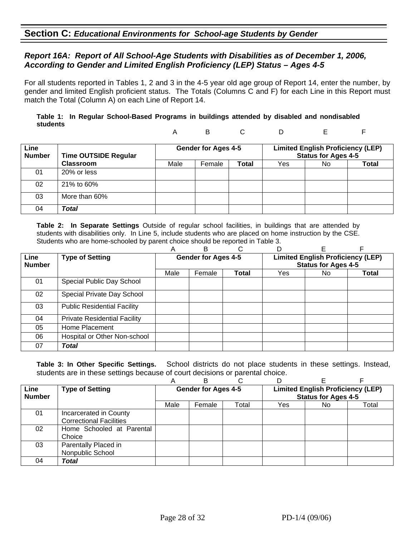## **Section C:** *Educational Environments for School-age Students by Gender*

#### *Report 16A: Report of All School-Age Students with Disabilities as of December 1, 2006, According to Gender and Limited English Proficiency (LEP) Status – Ages 4-5*

For all students reported in Tables 1, 2 and 3 in the 4-5 year old age group of Report 14, enter the number, by gender and limited English proficient status. The Totals (Columns C and F) for each Line in this Report must match the Total (Column A) on each Line of Report 14.

#### **Table 1: In Regular School-Based Programs in buildings attended by disabled and nondisabled students**

| $\overline{A}$ |  |  |  |  | $\sim$ |
|----------------|--|--|--|--|--------|
|----------------|--|--|--|--|--------|

| Line<br><b>Number</b> | <b>Time OUTSIDE Regular</b> |      | <b>Gender for Ages 4-5</b> |              | <b>Limited English Proficiency (LEP)</b><br>Status for Ages 4-5 |     |       |
|-----------------------|-----------------------------|------|----------------------------|--------------|-----------------------------------------------------------------|-----|-------|
|                       | <b>Classroom</b>            | Male | Female                     | <b>Total</b> | Yes                                                             | No. | Total |
| 01                    | 20% or less                 |      |                            |              |                                                                 |     |       |
| 02                    | 21% to 60%                  |      |                            |              |                                                                 |     |       |
| 03                    | More than 60%               |      |                            |              |                                                                 |     |       |
| 04                    | Total                       |      |                            |              |                                                                 |     |       |

**Table 2: In Separate Settings** Outside of regular school facilities, in buildings that are attended by students with disabilities only. In Line 5, include students who are placed on home instruction by the CSE. Students who are home-schooled by parent choice should be reported in Table 3.

|                       |                                     | Α    | в                          |              |                                                                        | E   |       |  |
|-----------------------|-------------------------------------|------|----------------------------|--------------|------------------------------------------------------------------------|-----|-------|--|
| Line<br><b>Number</b> | <b>Type of Setting</b>              |      | <b>Gender for Ages 4-5</b> |              | <b>Limited English Proficiency (LEP)</b><br><b>Status for Ages 4-5</b> |     |       |  |
|                       |                                     | Male | Female                     | <b>Total</b> | Yes                                                                    | No. | Total |  |
| 01                    | Special Public Day School           |      |                            |              |                                                                        |     |       |  |
| 02                    | Special Private Day School          |      |                            |              |                                                                        |     |       |  |
| 03                    | <b>Public Residential Facility</b>  |      |                            |              |                                                                        |     |       |  |
| 04                    | <b>Private Residential Facility</b> |      |                            |              |                                                                        |     |       |  |
| 05                    | Home Placement                      |      |                            |              |                                                                        |     |       |  |
| 06                    | Hospital or Other Non-school        |      |                            |              |                                                                        |     |       |  |
| 07                    | Total                               |      |                            |              |                                                                        |     |       |  |

|               |                                | Α    | R                          |       |     |                                          |       |
|---------------|--------------------------------|------|----------------------------|-------|-----|------------------------------------------|-------|
| <b>Line</b>   | <b>Type of Setting</b>         |      | <b>Gender for Ages 4-5</b> |       |     | <b>Limited English Proficiency (LEP)</b> |       |
| <b>Number</b> |                                |      |                            |       |     | <b>Status for Ages 4-5</b>               |       |
|               |                                | Male | Female                     | Total | Yes | No.                                      | Total |
| 01            | Incarcerated in County         |      |                            |       |     |                                          |       |
|               | <b>Correctional Facilities</b> |      |                            |       |     |                                          |       |
| 02            | Home Schooled at Parental      |      |                            |       |     |                                          |       |
|               | Choice                         |      |                            |       |     |                                          |       |
| 03            | Parentally Placed in           |      |                            |       |     |                                          |       |
|               | Nonpublic School               |      |                            |       |     |                                          |       |
| 04            | Total                          |      |                            |       |     |                                          |       |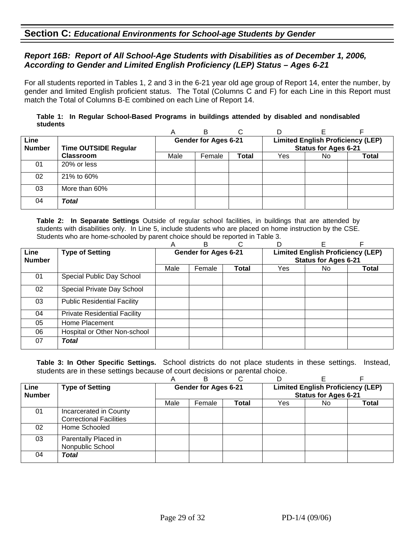## **Section C:** *Educational Environments for School-age Students by Gender*

### *Report 16B: Report of All School-Age Students with Disabilities as of December 1, 2006, According to Gender and Limited English Proficiency (LEP) Status – Ages 6-21*

For all students reported in Tables 1, 2 and 3 in the 6-21 year old age group of Report 14, enter the number, by gender and limited English proficient status. The Total (Columns C and F) for each Line in this Report must match the Total of Columns B-E combined on each Line of Report 14.

#### **Table 1: In Regular School-Based Programs in buildings attended by disabled and nondisabled students**

|                       |                             | A                                                                                               | B      | U     | D   |    |       |
|-----------------------|-----------------------------|-------------------------------------------------------------------------------------------------|--------|-------|-----|----|-------|
| Line<br><b>Number</b> | <b>Time OUTSIDE Regular</b> | <b>Limited English Proficiency (LEP)</b><br>Gender for Ages 6-21<br><b>Status for Ages 6-21</b> |        |       |     |    |       |
|                       | <b>Classroom</b>            | Male                                                                                            | Female | Total | Yes | No | Total |
| 01                    | 20% or less                 |                                                                                                 |        |       |     |    |       |
| 02                    | 21% to 60%                  |                                                                                                 |        |       |     |    |       |
| 03                    | More than 60%               |                                                                                                 |        |       |     |    |       |
| 04                    | Total                       |                                                                                                 |        |       |     |    |       |

**Table 2: In Separate Settings** Outside of regular school facilities, in buildings that are attended by students with disabilities only. In Line 5, include students who are placed on home instruction by the CSE. Students who are home-schooled by parent choice should be reported in Table 3.

|                       |                                     | Α                           | в      |              |                                                                         | F   |       |  |
|-----------------------|-------------------------------------|-----------------------------|--------|--------------|-------------------------------------------------------------------------|-----|-------|--|
| Line<br><b>Number</b> | <b>Type of Setting</b>              | <b>Gender for Ages 6-21</b> |        |              | <b>Limited English Proficiency (LEP)</b><br><b>Status for Ages 6-21</b> |     |       |  |
|                       |                                     | Male                        | Female | <b>Total</b> | Yes                                                                     | No. | Total |  |
| 01                    | Special Public Day School           |                             |        |              |                                                                         |     |       |  |
| 02                    | Special Private Day School          |                             |        |              |                                                                         |     |       |  |
| 03                    | <b>Public Residential Facility</b>  |                             |        |              |                                                                         |     |       |  |
| 04                    | <b>Private Residential Facility</b> |                             |        |              |                                                                         |     |       |  |
| 05                    | Home Placement                      |                             |        |              |                                                                         |     |       |  |
| 06                    | Hospital or Other Non-school        |                             |        |              |                                                                         |     |       |  |
| 07                    | <b>Total</b>                        |                             |        |              |                                                                         |     |       |  |

|               |                                | A    | R                           |              |                                          |     |              |  |  |
|---------------|--------------------------------|------|-----------------------------|--------------|------------------------------------------|-----|--------------|--|--|
| <b>Line</b>   | <b>Type of Setting</b>         |      | <b>Gender for Ages 6-21</b> |              | <b>Limited English Proficiency (LEP)</b> |     |              |  |  |
| <b>Number</b> |                                |      |                             |              | <b>Status for Ages 6-21</b>              |     |              |  |  |
|               |                                | Male | Female                      | <b>Total</b> | Yes                                      | No. | <b>Total</b> |  |  |
| 01            | Incarcerated in County         |      |                             |              |                                          |     |              |  |  |
|               | <b>Correctional Facilities</b> |      |                             |              |                                          |     |              |  |  |
| 02            | Home Schooled                  |      |                             |              |                                          |     |              |  |  |
| 03            | Parentally Placed in           |      |                             |              |                                          |     |              |  |  |
|               | Nonpublic School               |      |                             |              |                                          |     |              |  |  |
| 04            | Total                          |      |                             |              |                                          |     |              |  |  |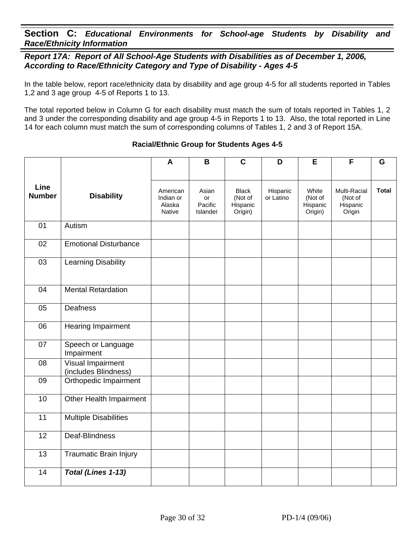### *Report 17A: Report of All School-Age Students with Disabilities as of December 1, 2006, According to Race/Ethnicity Category and Type of Disability - Ages 4-5*

In the table below, report race/ethnicity data by disability and age group 4-5 for all students reported in Tables 1,2 and 3 age group 4-5 of Reports 1 to 13.

The total reported below in Column G for each disability must match the sum of totals reported in Tables 1, 2 and 3 under the corresponding disability and age group 4-5 in Reports 1 to 13. Also, the total reported in Line 14 for each column must match the sum of corresponding columns of Tables 1, 2 and 3 of Report 15A.

#### **Racial/Ethnic Group for Students Ages 4-5**

|                       |                                                  | A                                         | B                                  | $\mathbf c$                                    | D                     | E                                       | F                                             | G            |
|-----------------------|--------------------------------------------------|-------------------------------------------|------------------------------------|------------------------------------------------|-----------------------|-----------------------------------------|-----------------------------------------------|--------------|
|                       |                                                  |                                           |                                    |                                                |                       |                                         |                                               |              |
| Line<br><b>Number</b> | <b>Disability</b>                                | American<br>Indian or<br>Alaska<br>Native | Asian<br>or<br>Pacific<br>Islander | <b>Black</b><br>(Not of<br>Hispanic<br>Origin) | Hispanic<br>or Latino | White<br>(Not of<br>Hispanic<br>Origin) | Multi-Racial<br>(Not of<br>Hispanic<br>Origin | <b>Total</b> |
| 01                    | Autism                                           |                                           |                                    |                                                |                       |                                         |                                               |              |
| 02                    | <b>Emotional Disturbance</b>                     |                                           |                                    |                                                |                       |                                         |                                               |              |
| 03                    | <b>Learning Disability</b>                       |                                           |                                    |                                                |                       |                                         |                                               |              |
| 04                    | <b>Mental Retardation</b>                        |                                           |                                    |                                                |                       |                                         |                                               |              |
| 05                    | <b>Deafness</b>                                  |                                           |                                    |                                                |                       |                                         |                                               |              |
| 06                    | <b>Hearing Impairment</b>                        |                                           |                                    |                                                |                       |                                         |                                               |              |
| 07                    | Speech or Language<br>Impairment                 |                                           |                                    |                                                |                       |                                         |                                               |              |
| $\overline{08}$       | <b>Visual Impairment</b><br>(includes Blindness) |                                           |                                    |                                                |                       |                                         |                                               |              |
| 09                    | Orthopedic Impairment                            |                                           |                                    |                                                |                       |                                         |                                               |              |
| 10                    | Other Health Impairment                          |                                           |                                    |                                                |                       |                                         |                                               |              |
| $\overline{11}$       | <b>Multiple Disabilities</b>                     |                                           |                                    |                                                |                       |                                         |                                               |              |
| 12                    | Deaf-Blindness                                   |                                           |                                    |                                                |                       |                                         |                                               |              |
| $\overline{13}$       | <b>Traumatic Brain Injury</b>                    |                                           |                                    |                                                |                       |                                         |                                               |              |
| 14                    | <b>Total (Lines 1-13)</b>                        |                                           |                                    |                                                |                       |                                         |                                               |              |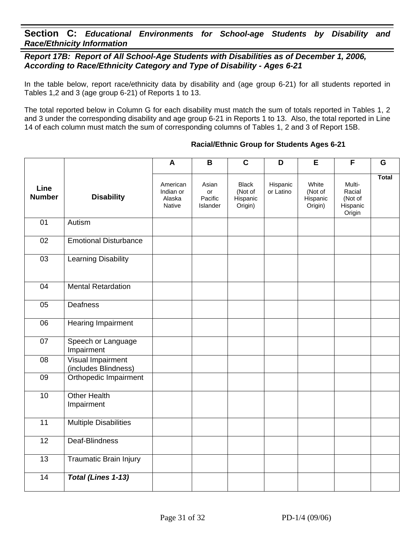### *Report 17B: Report of All School-Age Students with Disabilities as of December 1, 2006, According to Race/Ethnicity Category and Type of Disability - Ages 6-21*

In the table below, report race/ethnicity data by disability and (age group 6-21) for all students reported in Tables 1,2 and 3 (age group 6-21) of Reports 1 to 13.

The total reported below in Column G for each disability must match the sum of totals reported in Tables 1, 2 and 3 under the corresponding disability and age group 6-21 in Reports 1 to 13. Also, the total reported in Line 14 of each column must match the sum of corresponding columns of Tables 1, 2 and 3 of Report 15B.

# **Racial/Ethnic Group for Students Ages 6-21**

|                       |                                           | $\mathsf{A}$                              | B                                  | C                                              | D                     | E                                       | F                                                 | G     |
|-----------------------|-------------------------------------------|-------------------------------------------|------------------------------------|------------------------------------------------|-----------------------|-----------------------------------------|---------------------------------------------------|-------|
| Line<br><b>Number</b> | <b>Disability</b>                         | American<br>Indian or<br>Alaska<br>Native | Asian<br>or<br>Pacific<br>Islander | <b>Black</b><br>(Not of<br>Hispanic<br>Origin) | Hispanic<br>or Latino | White<br>(Not of<br>Hispanic<br>Origin) | Multi-<br>Racial<br>(Not of<br>Hispanic<br>Origin | Total |
| 01                    | Autism                                    |                                           |                                    |                                                |                       |                                         |                                                   |       |
| 02                    | <b>Emotional Disturbance</b>              |                                           |                                    |                                                |                       |                                         |                                                   |       |
| 03                    | <b>Learning Disability</b>                |                                           |                                    |                                                |                       |                                         |                                                   |       |
| 04                    | <b>Mental Retardation</b>                 |                                           |                                    |                                                |                       |                                         |                                                   |       |
| 05                    | <b>Deafness</b>                           |                                           |                                    |                                                |                       |                                         |                                                   |       |
| 06                    | <b>Hearing Impairment</b>                 |                                           |                                    |                                                |                       |                                         |                                                   |       |
| 07                    | Speech or Language<br>Impairment          |                                           |                                    |                                                |                       |                                         |                                                   |       |
| 08                    | Visual Impairment<br>(includes Blindness) |                                           |                                    |                                                |                       |                                         |                                                   |       |
| 09                    | Orthopedic Impairment                     |                                           |                                    |                                                |                       |                                         |                                                   |       |
| 10                    | <b>Other Health</b><br>Impairment         |                                           |                                    |                                                |                       |                                         |                                                   |       |
| 11                    | <b>Multiple Disabilities</b>              |                                           |                                    |                                                |                       |                                         |                                                   |       |
| 12                    | Deaf-Blindness                            |                                           |                                    |                                                |                       |                                         |                                                   |       |
| 13                    | <b>Traumatic Brain Injury</b>             |                                           |                                    |                                                |                       |                                         |                                                   |       |
| 14                    | Total (Lines 1-13)                        |                                           |                                    |                                                |                       |                                         |                                                   |       |